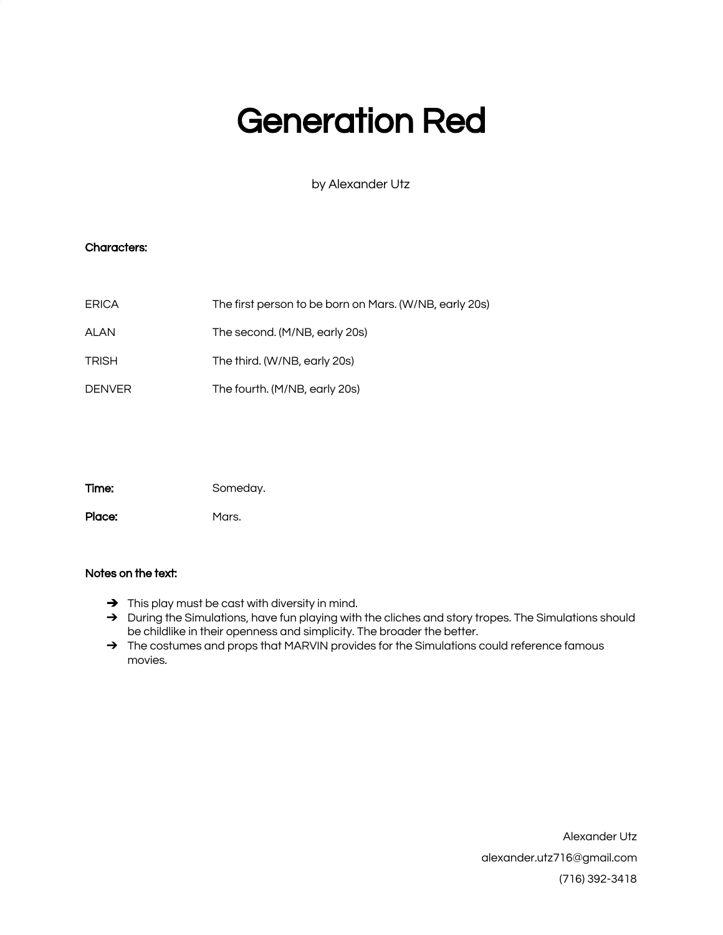# Generation Red

by Alexander Utz

# Characters:

| <b>ERICA</b>  | The first person to be born on Mars. (W/NB, early 20s) |
|---------------|--------------------------------------------------------|
| ALAN          | The second. (M/NB, early 20s)                          |
| <b>TRISH</b>  | The third. (W/NB, early 20s)                           |
| <b>DENVER</b> | The fourth. (M/NB, early 20s)                          |

Time: Someday.

Place: Mars.

# Notes on the text:

- ➔ This play must be cast with diversity in mind.
- → During the Simulations, have fun playing with the cliches and story tropes. The Simulations should be childlike in their openness and simplicity. The broader the better.
- → The costumes and props that MARVIN provides for the Simulations could reference famous movies.

Alexander Utz alexander.utz716@gmail.com (716) 392-3418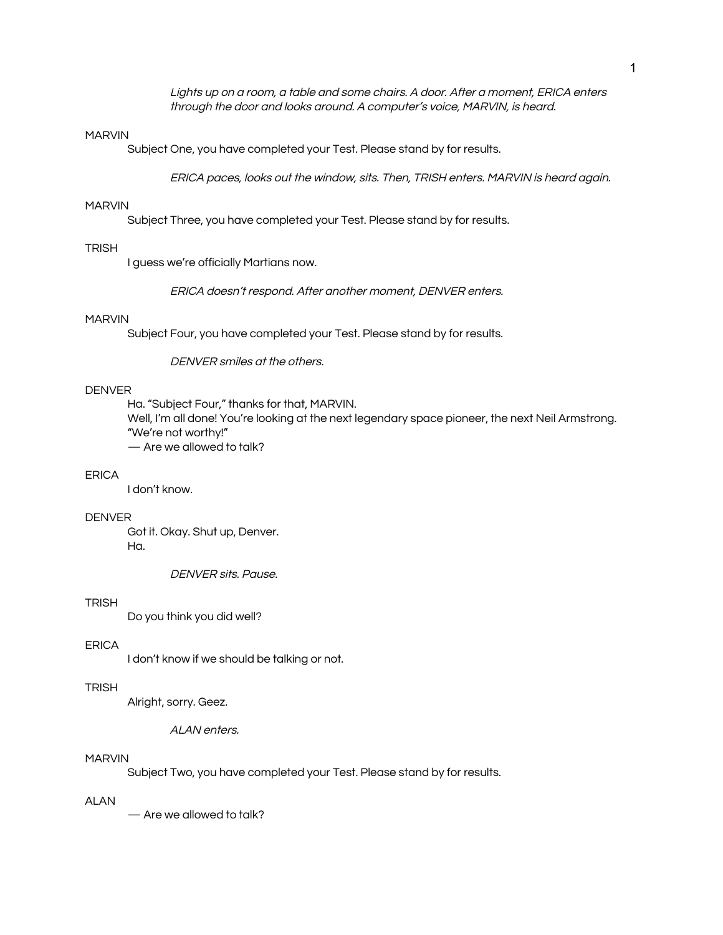Lights up on <sup>a</sup> room, <sup>a</sup> table and some chairs. A door. After <sup>a</sup> moment, ERICA enters through the door and looks around. A computer's voice, MARVIN, is heard.

#### MARVIN

Subject One, you have completed your Test. Please stand by for results.

ERICA paces, looks out the window, sits. Then, TRISH enters. MARVIN is heard again.

#### MARVIN

Subject Three, you have completed your Test. Please stand by for results.

## **TRISH**

I guess we're officially Martians now.

ERICA doesn't respond. After another moment, DENVER enters.

## MARVIN

Subject Four, you have completed your Test. Please stand by for results.

DENVER smiles at the others.

## DENVER

Ha. "Subject Four," thanks for that, MARVIN. Well, I'm all done! You're looking at the next legendary space pioneer, the next Neil Armstrong. "We're not worthy!" — Are we allowed to talk?

# ERICA

I don't know.

#### DENVER

Got it. Okay. Shut up, Denver. Ha.

DENVER sits. Pause.

#### TRISH

Do you think you did well?

#### ERICA

I don't know if we should be talking or not.

# TRISH

Alright, sorry. Geez.

ALAN enters.

#### MARVIN

Subject Two, you have completed your Test. Please stand by for results.

#### ALAN

— Are we allowed to talk?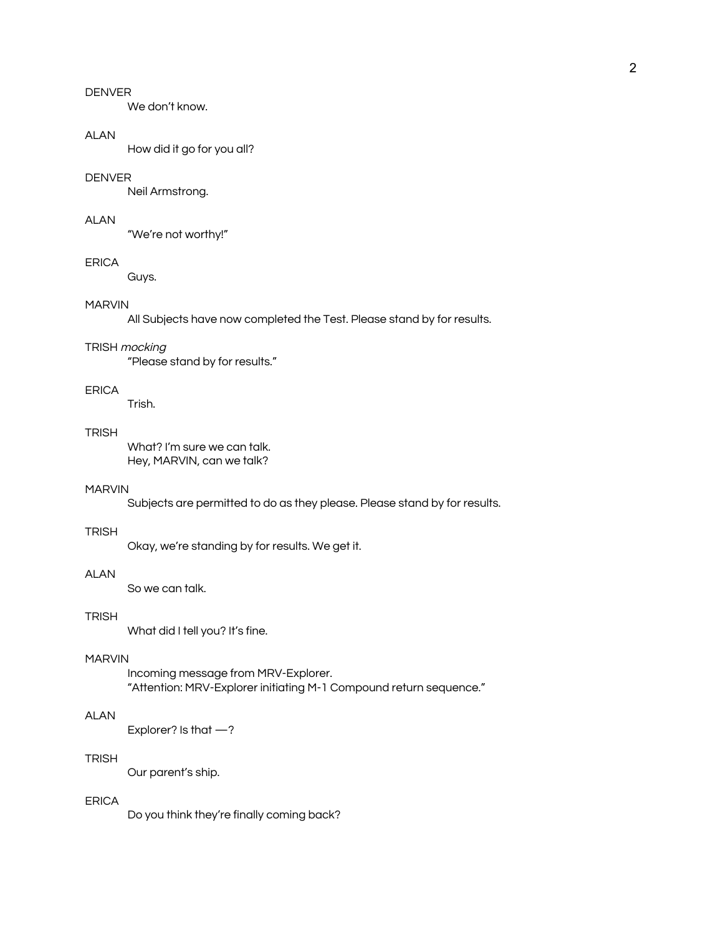We don't know.

## **ALAN**

How did it go for you all?

# DENVER

Neil Armstrong.

## ALAN

"We're not worthy!"

#### ERICA

Guys.

# MARVIN

All Subjects have now completed the Test. Please stand by for results.

#### TRISH mocking

"Please stand by for results."

# ERICA

Trish.

# **TRISH**

What? I'm sure we can talk. Hey, MARVIN, can we talk?

#### MARVIN

Subjects are permitted to do as they please. Please stand by for results.

#### **TRISH**

Okay, we're standing by for results. We get it.

# **ALAN**

So we can talk.

# TRISH

What did I tell you? It's fine.

#### MARVIN

Incoming message from MRV-Explorer. "Attention: MRV-Explorer initiating M-1 Compound return sequence."

# ALAN

Explorer? Is that —?

## **TRISH**

Our parent's ship.

# ERICA

Do you think they're finally coming back?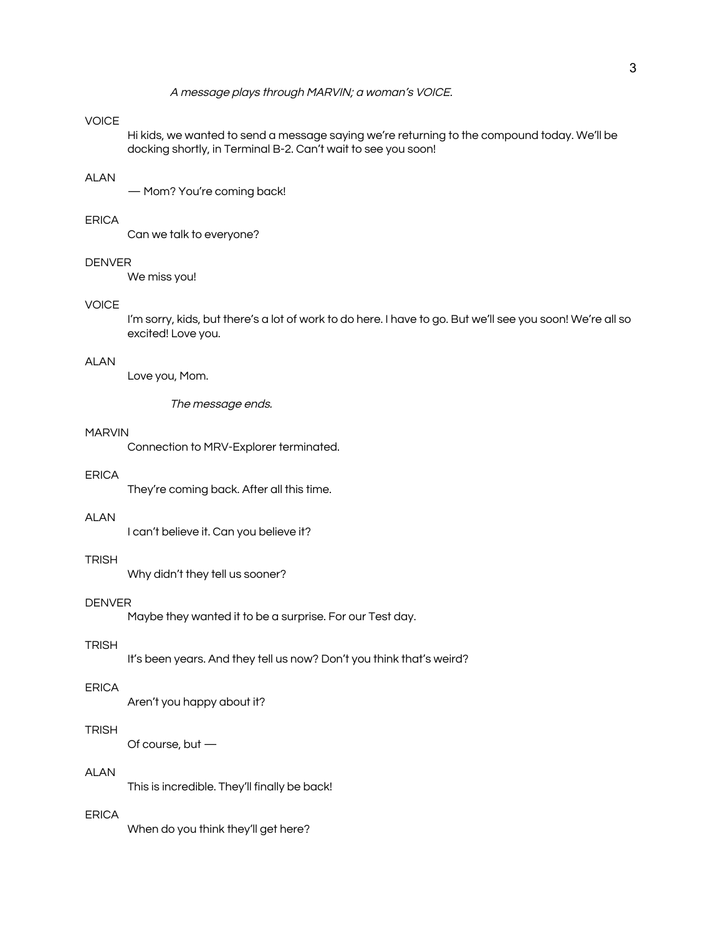A message plays through MARVIN; <sup>a</sup> woman's VOICE.

# VOICE

Hi kids, we wanted to send a message saying we're returning to the compound today. We'll be docking shortly, in Terminal B-2. Can't wait to see you soon!

#### ALAN

— Mom? You're coming back!

#### ERICA

Can we talk to everyone?

#### **DENVER**

We miss you!

## **VOICE**

I'm sorry, kids, but there's a lot of work to do here. I have to go. But we'll see you soon! We're all so excited! Love you.

#### ALAN

Love you, Mom.

The message ends.

#### MARVIN

Connection to MRV-Explorer terminated.

# ERICA

They're coming back. After all this time.

## ALAN

I can't believe it. Can you believe it?

# **TRISH**

Why didn't they tell us sooner?

#### DENVER

Maybe they wanted it to be a surprise. For our Test day.

#### **TRISH**

It's been years. And they tell us now? Don't you think that's weird?

#### ERICA

Aren't you happy about it?

## TRISH

Of course, but —

#### ALAN

This is incredible. They'll finally be back!

# ERICA

When do you think they'll get here?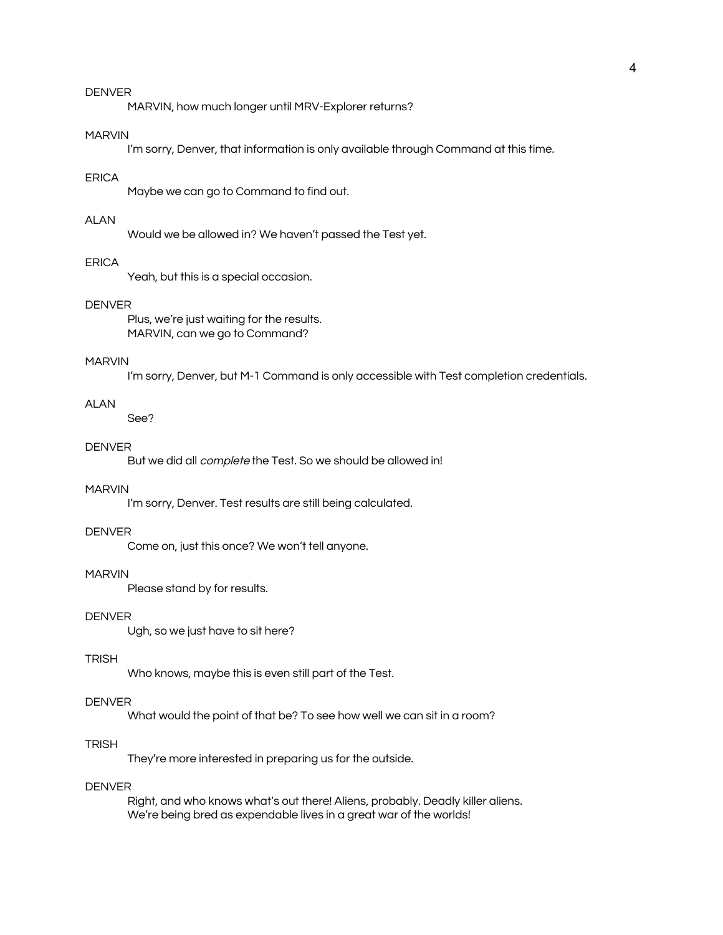MARVIN, how much longer until MRV-Explorer returns?

#### MARVIN

I'm sorry, Denver, that information is only available through Command at this time.

#### ERICA

Maybe we can go to Command to find out.

# ALAN

Would we be allowed in? We haven't passed the Test yet.

#### **FRICA**

Yeah, but this is a special occasion.

## DENVER

Plus, we're just waiting for the results. MARVIN, can we go to Command?

#### MARVIN

I'm sorry, Denver, but M-1 Command is only accessible with Test completion credentials.

#### ALAN

See?

#### **DENVER**

But we did all complete the Test. So we should be allowed in!

## MARVIN

I'm sorry, Denver. Test results are still being calculated.

## DENVER

Come on, just this once? We won't tell anyone.

## MARVIN

Please stand by for results.

# DENVER

Ugh, so we just have to sit here?

#### TRISH

Who knows, maybe this is even still part of the Test.

#### DENVER

What would the point of that be? To see how well we can sit in a room?

# TRISH

They're more interested in preparing us for the outside.

## DENVER

Right, and who knows what's out there! Aliens, probably. Deadly killer aliens. We're being bred as expendable lives in a great war of the worlds!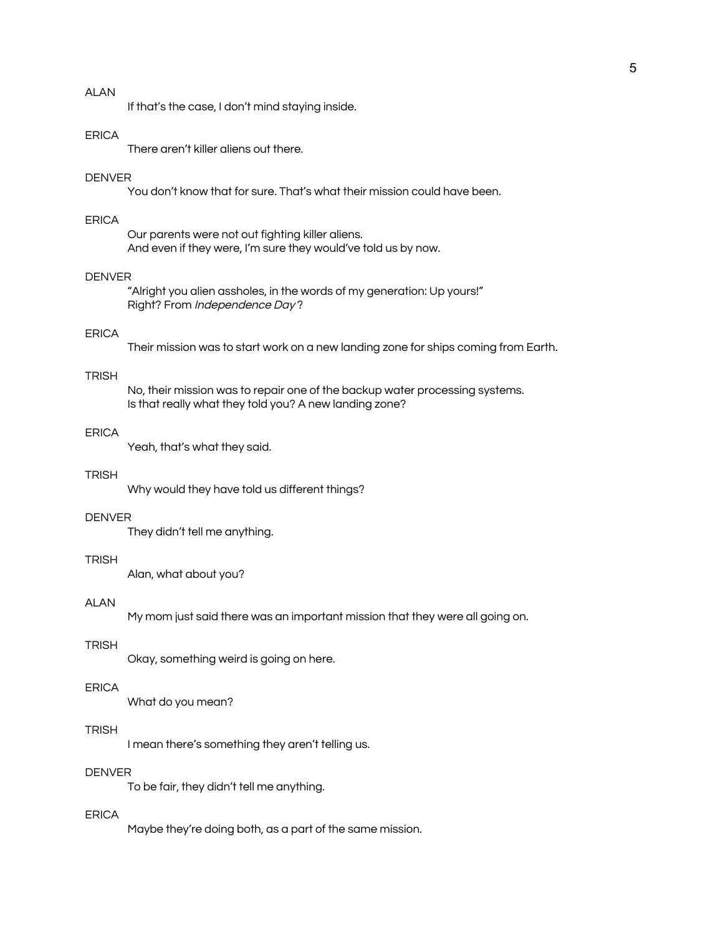If that's the case, I don't mind staying inside.

#### **FRICA**

There aren't killer aliens out there.

#### DENVER

You don't know that for sure. That's what their mission could have been.

# ERICA

Our parents were not out fighting killer aliens. And even if they were, I'm sure they would've told us by now.

## DENVER

"Alright you alien assholes, in the words of my generation: Up yours!" Right? From Independence Day ?

#### ERICA

Their mission was to start work on a new landing zone for ships coming from Earth.

#### **TRISH**

No, their mission was to repair one of the backup water processing systems. Is that really what they told you? A new landing zone?

#### ERICA

Yeah, that's what they said.

## **TRISH**

Why would they have told us different things?

#### DENVER

They didn't tell me anything.

# **TRISH**

Alan, what about you?

## **ALAN**

My mom just said there was an important mission that they were all going on.

#### **TRISH**

Okay, something weird is going on here.

#### ERICA

What do you mean?

## TRISH

I mean there's something they aren't telling us.

## DENVER

To be fair, they didn't tell me anything.

## ERICA

Maybe they're doing both, as a part of the same mission.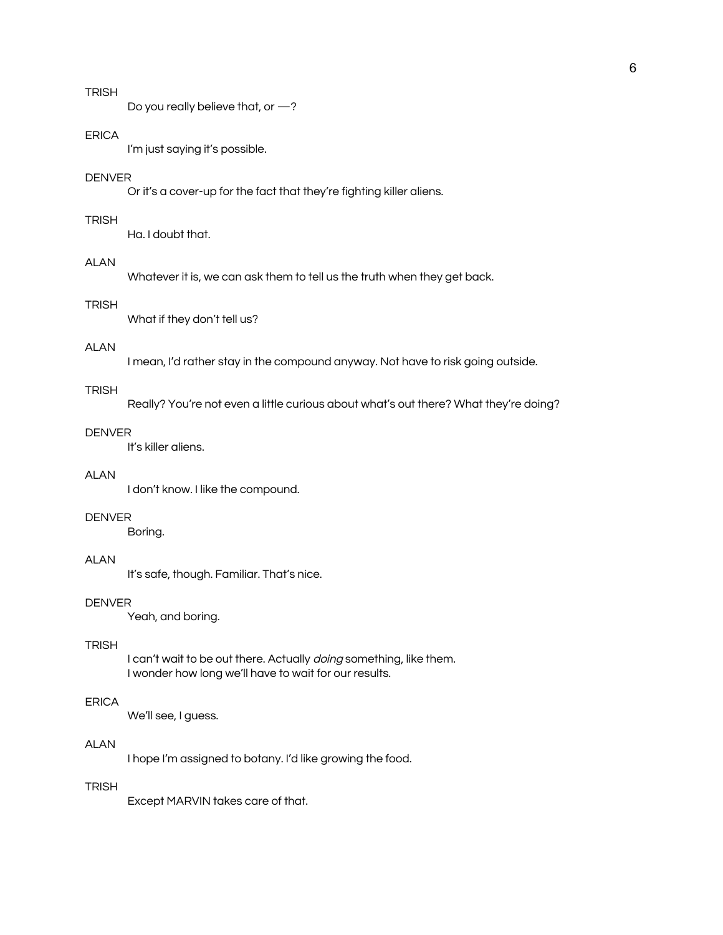# TRISH

Do you really believe that, or —?

#### ERICA

I'm just saying it's possible.

#### DENVER

Or it's a cover-up for the fact that they're fighting killer aliens.

#### **TRISH**

Ha. I doubt that.

## **ALAN**

Whatever it is, we can ask them to tell us the truth when they get back.

# **TRISH**

What if they don't tell us?

# ALAN

I mean, I'd rather stay in the compound anyway. Not have to risk going outside.

#### **TRISH**

Really? You're not even a little curious about what's out there? What they're doing?

## DENVER

It's killer aliens.

# ALAN

I don't know. I like the compound.

#### DENVER

Boring.

# ALAN

It's safe, though. Familiar. That's nice.

#### DENVER

Yeah, and boring.

#### **TRISH**

I can't wait to be out there. Actually *doing* something, like them. I wonder how long we'll have to wait for our results.

## ERICA

We'll see, I guess.

# ALAN

I hope I'm assigned to botany. I'd like growing the food.

# **TRISH**

Except MARVIN takes care of that.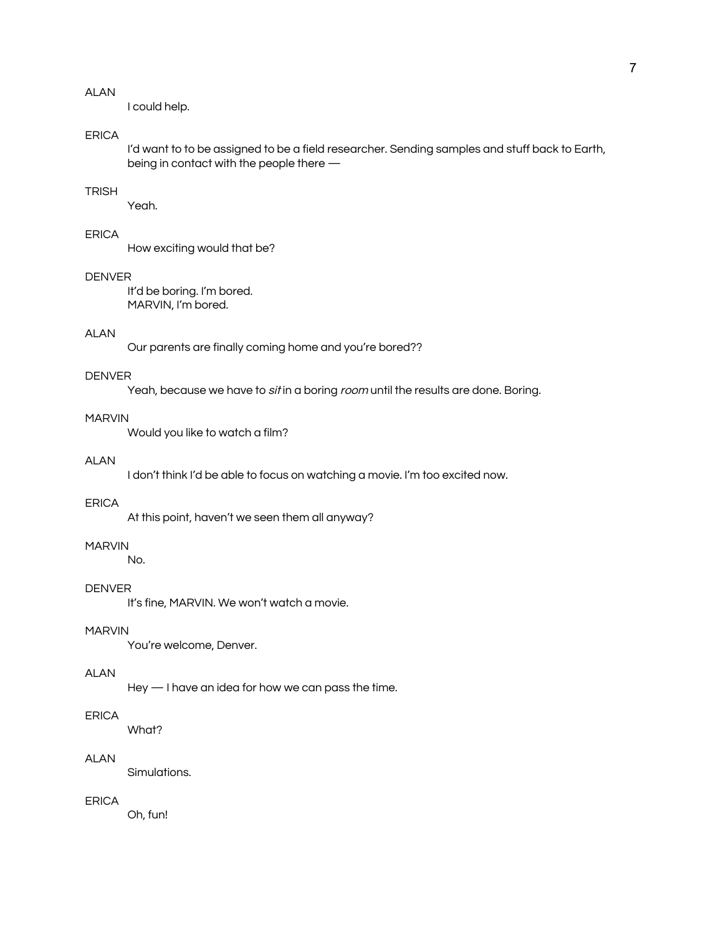I could help.

# ERICA

I'd want to to be assigned to be a field researcher. Sending samples and stuff back to Earth, being in contact with the people there —

# **TRISH**

Yeah.

# ERICA

How exciting would that be?

## DENVER

It'd be boring. I'm bored. MARVIN, I'm bored.

#### ALAN

Our parents are finally coming home and you're bored??

#### DENVER

Yeah, because we have to sit in a boring room until the results are done. Boring.

## MARVIN

Would you like to watch a film?

## ALAN

I don't think I'd be able to focus on watching a movie. I'm too excited now.

# ERICA

At this point, haven't we seen them all anyway?

# MARVIN

No.

## DENVER

It's fine, MARVIN. We won't watch a movie.

# MARVIN

You're welcome, Denver.

#### ALAN

Hey — I have an idea for how we can pass the time.

# ERICA

What?

## ALAN

Simulations.

# ERICA

Oh, fun!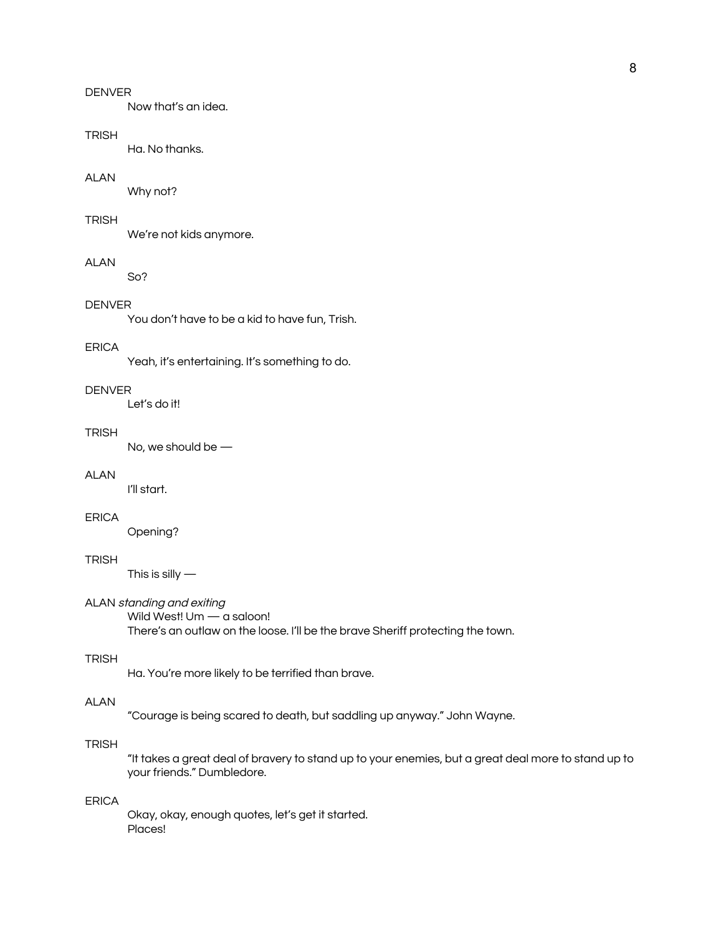Now that's an idea.

#### TRISH

Ha. No thanks.

### ALAN

Why not?

## **TRISH**

We're not kids anymore.

## ALAN

So?

# DENVER

You don't have to be a kid to have fun, Trish.

# ERICA

Yeah, it's entertaining. It's something to do.

#### **DENVER**

Let's do it!

## **TRISH**

No, we should be —

# ALAN

I'll start.

# ERICA

Opening?

# TRISH

This is silly  $-$ 

## ALAN standing and exiting

Wild West! Um - a saloon! There's an outlaw on the loose. I'll be the brave Sheriff protecting the town.

# **TRISH**

Ha. You're more likely to be terrified than brave.

## ALAN

"Courage is being scared to death, but saddling up anyway." John Wayne.

# **TRISH**

"It takes a great deal of bravery to stand up to your enemies, but a great deal more to stand up to your friends." Dumbledore.

## ERICA

Okay, okay, enough quotes, let's get it started. Places!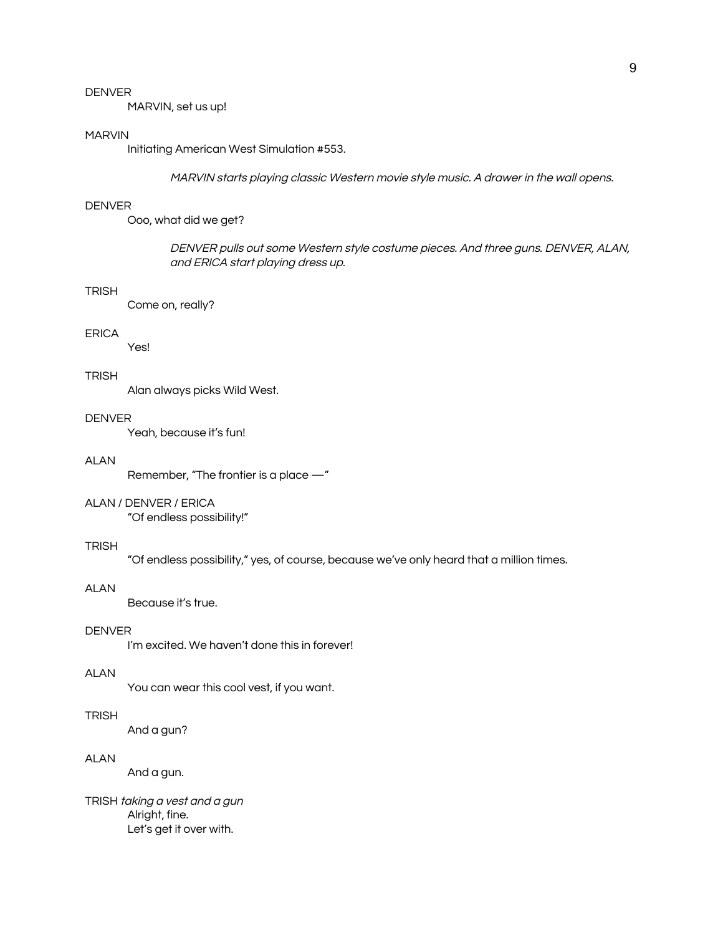MARVIN, set us up!

#### MARVIN

Initiating American West Simulation #553.

MARVIN starts playing classic Western movie style music. A drawer in the wall opens.

#### DENVER

Ooo, what did we get?

DENVER pulls out some Western style costume pieces. And three guns. DENVER, ALAN, and ERICA start playing dress up.

#### **TRISH**

Come on, really?

#### ERICA

Yes!

#### **TRISH**

Alan always picks Wild West.

#### DENVER

Yeah, because it's fun!

#### ALAN

Remember, "The frontier is a place —"

#### ALAN / DENVER / ERICA

"Of endless possibility!"

#### **TRISH**

"Of endless possibility," yes, of course, because we've only heard that a million times.

#### ALAN

Because it's true.

# DENVER

I'm excited. We haven't done this in forever!

#### ALAN

You can wear this cool vest, if you want.

# **TRISH**

And a gun?

## ALAN

And a gun.

TRISH taking <sup>a</sup> vest and <sup>a</sup> gun Alright, fine. Let's get it over with.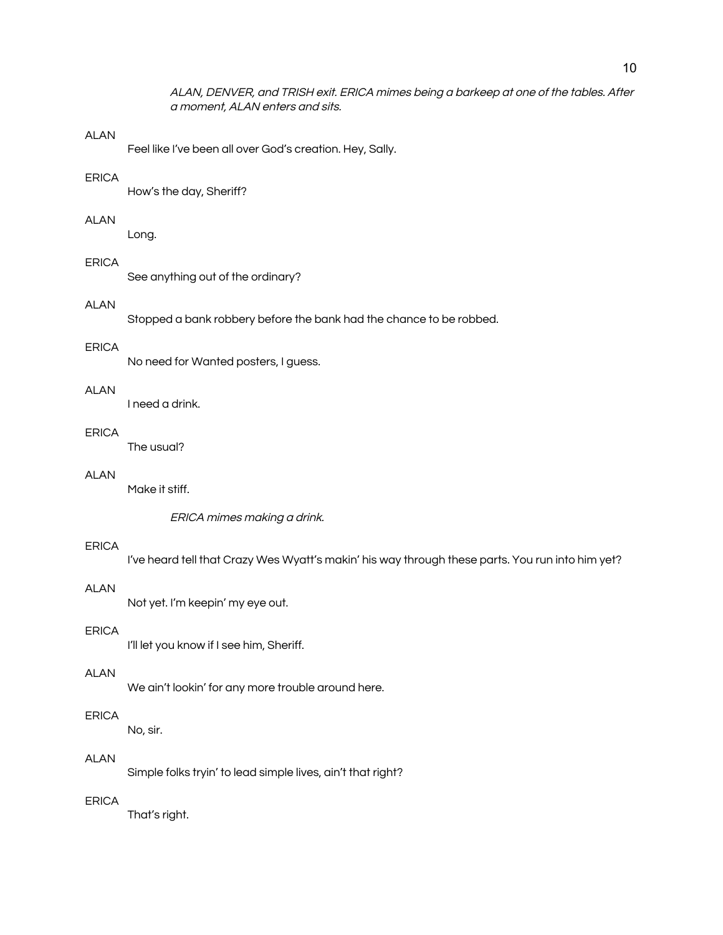ALAN, DENVER, and TRISH exit. ERICA mimes being <sup>a</sup> barkeep at one of the tables. After <sup>a</sup> moment, ALAN enters and sits.

#### **ALAN**

Feel like I've been all over God's creation. Hey, Sally.

#### ERICA

How's the day, Sheriff?

# ALAN

Long.

## ERICA

See anything out of the ordinary?

# ALAN

Stopped a bank robbery before the bank had the chance to be robbed.

# ERICA

No need for Wanted posters, I guess.

# ALAN

I need a drink.

# ERICA

The usual?

# ALAN

Make it stiff.

ERICA mimes making <sup>a</sup> drink.

#### ERICA

I've heard tell that Crazy Wes Wyatt's makin' his way through these parts. You run into him yet?

#### ALAN

Not yet. I'm keepin' my eye out.

# ERICA

I'll let you know if I see him, Sheriff.

#### ALAN

We ain't lookin' for any more trouble around here.

# ERICA

No, sir.

## ALAN

Simple folks tryin' to lead simple lives, ain't that right?

## ERICA

That's right.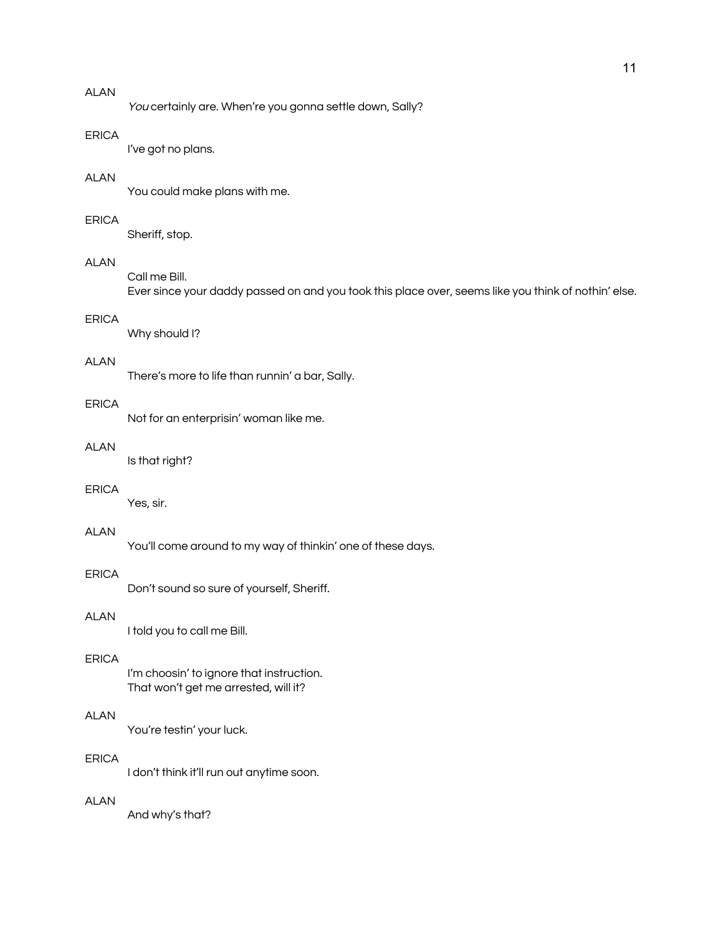You certainly are. When're you gonna settle down, Sally?

#### ERICA

I've got no plans.

#### ALAN

You could make plans with me.

## ERICA

Sheriff, stop.

## ALAN

Call me Bill.

Ever since your daddy passed on and you took this place over, seems like you think of nothin' else.

# ERICA

Why should I?

#### ALAN

There's more to life than runnin' a bar, Sally.

# ERICA

Not for an enterprisin' woman like me.

## ALAN

Is that right?

## ERICA

Yes, sir.

# ALAN

You'll come around to my way of thinkin' one of these days.

#### ERICA

Don't sound so sure of yourself, Sheriff.

# ALAN

I told you to call me Bill.

# ERICA

I'm choosin' to ignore that instruction. That won't get me arrested, will it?

# ALAN

You're testin' your luck.

#### ERICA

I don't think it'll run out anytime soon.

#### ALAN

And why's that?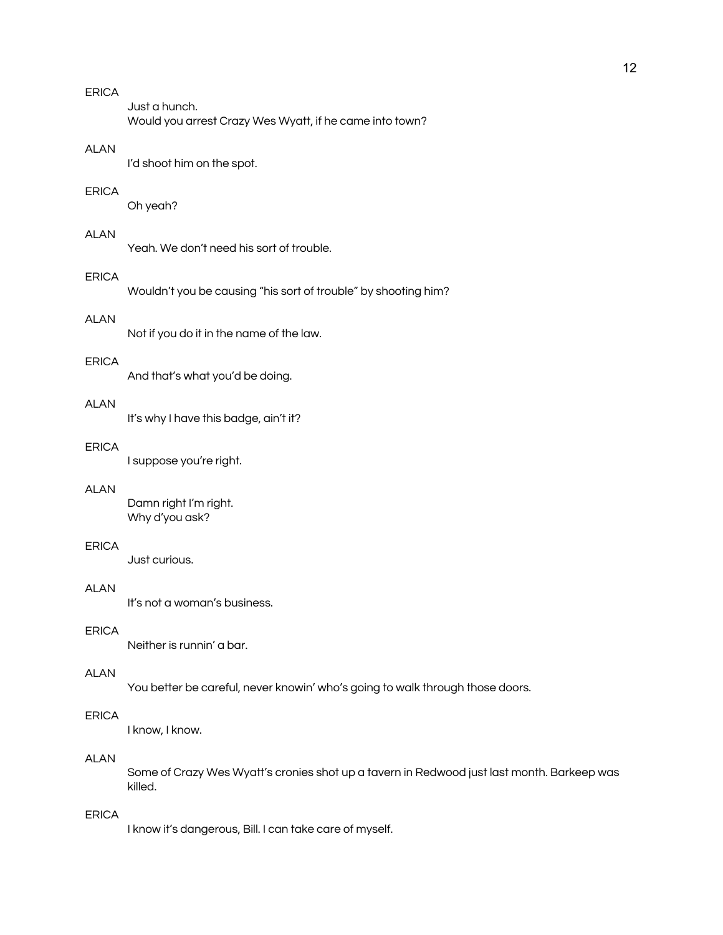Just a hunch. Would you arrest Crazy Wes Wyatt, if he came into town?

# ALAN

I'd shoot him on the spot.

### ERICA

Oh yeah?

## ALAN

Yeah. We don't need his sort of trouble.

#### ERICA

Wouldn't you be causing "his sort of trouble" by shooting him?

# ALAN

Not if you do it in the name of the law.

#### ERICA

And that's what you'd be doing.

# ALAN

It's why I have this badge, ain't it?

#### ERICA

I suppose you're right.

#### ALAN

Damn right I'm right. Why d'you ask?

#### ERICA

Just curious.

#### ALAN

It's not a woman's business.

# ERICA

Neither is runnin' a bar.

#### ALAN

You better be careful, never knowin' who's going to walk through those doors.

# ERICA

I know, I know.

## ALAN

Some of Crazy Wes Wyatt's cronies shot up a tavern in Redwood just last month. Barkeep was killed.

# ERICA

I know it's dangerous, Bill. I can take care of myself.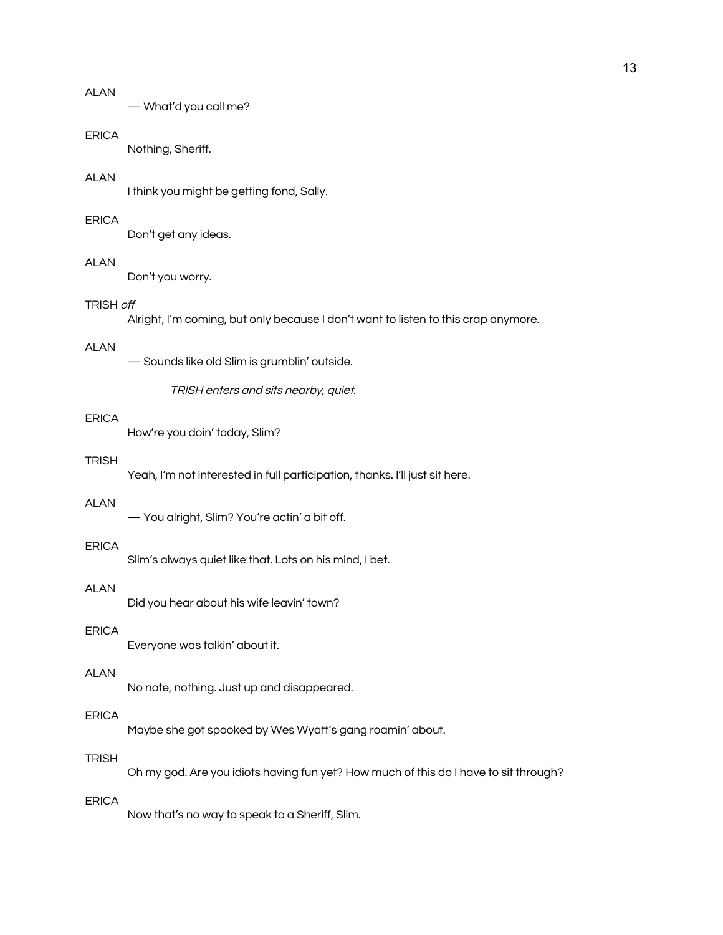— What'd you call me?

#### ERICA

Nothing, Sheriff.

## ALAN

I think you might be getting fond, Sally.

#### ERICA

Don't get any ideas.

# **ALAN**

Don't you worry.

# TRISH off

Alright, I'm coming, but only because I don't want to listen to this crap anymore.

# ALAN

— Sounds like old Slim is grumblin' outside.

TRISH enters and sits nearby, quiet.

## ERICA

How're you doin' today, Slim?

## **TRISH**

Yeah, I'm not interested in full participation, thanks. I'll just sit here.

# ALAN

— You alright, Slim? You're actin' a bit off.

#### ERICA

Slim's always quiet like that. Lots on his mind, I bet.

#### ALAN

Did you hear about his wife leavin' town?

# ERICA

Everyone was talkin' about it.

#### ALAN

No note, nothing. Just up and disappeared.

# ERICA

Maybe she got spooked by Wes Wyatt's gang roamin' about.

## **TRISH**

Oh my god. Are you idiots having fun yet? How much of this do I have to sit through?

## ERICA

Now that's no way to speak to a Sheriff, Slim.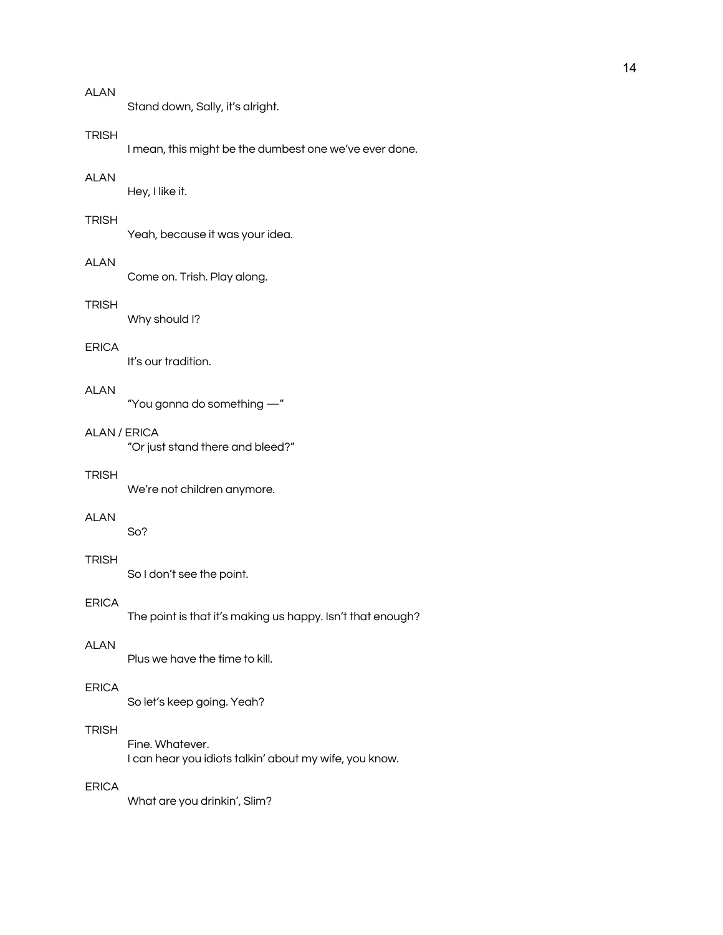Stand down, Sally, it's alright.

#### **TRISH**

I mean, this might be the dumbest one we've ever done.

#### ALAN

Hey, I like it.

## **TRISH**

Yeah, because it was your idea.

# ALAN

Come on. Trish. Play along.

# **TRISH**

Why should I?

# ERICA

It's our tradition.

## ALAN

"You gonna do something —"

# ALAN / ERICA

"Or just stand there and bleed?"

## **TRISH**

We're not children anymore.

## ALAN

So?

# TRISH

So I don't see the point.

#### ERICA

The point is that it's making us happy. Isn't that enough?

# ALAN

Plus we have the time to kill.

#### ERICA

So let's keep going. Yeah?

# TRISH

Fine. Whatever. I can hear you idiots talkin' about my wife, you know.

# ERICA

What are you drinkin', Slim?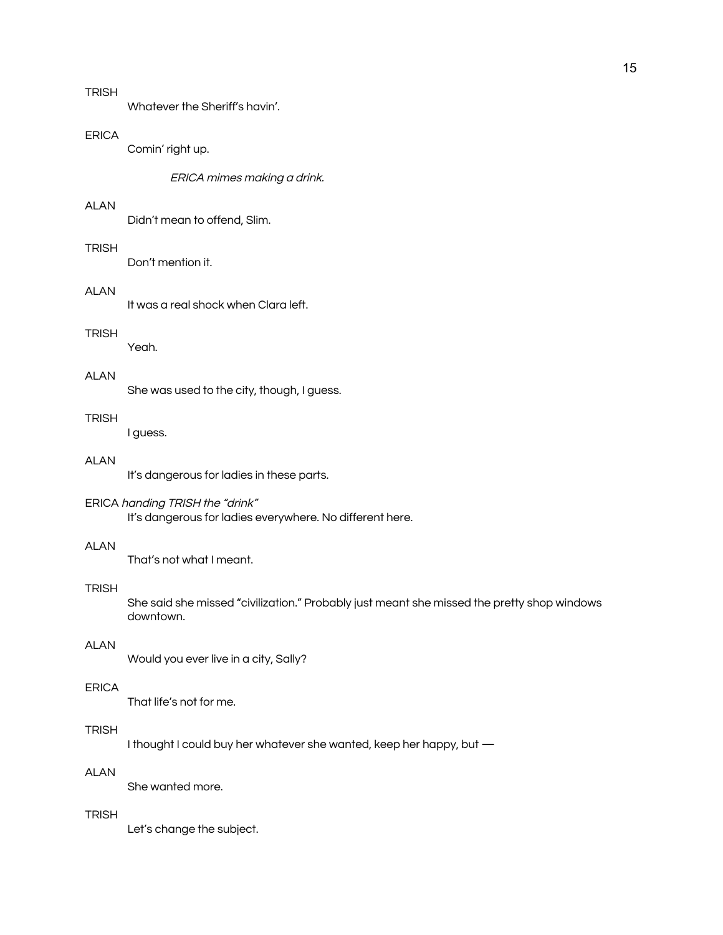Whatever the Sheriff's havin'.

#### ERICA

Comin' right up.

ERICA mimes making <sup>a</sup> drink.

## ALAN

Didn't mean to offend, Slim.

# TRISH

Don't mention it.

## ALAN

It was a real shock when Clara left.

#### **TRISH**

Yeah.

# ALAN

She was used to the city, though, I guess.

## **TRISH**

I guess.

# ALAN

It's dangerous for ladies in these parts.

#### ERICA handing TRISH the "drink"

It's dangerous for ladies everywhere. No different here.

#### ALAN

That's not what I meant.

## **TRISH**

She said she missed "civilization." Probably just meant she missed the pretty shop windows downtown.

## ALAN

Would you ever live in a city, Sally?

# ERICA

That life's not for me.

# TRISH

I thought I could buy her whatever she wanted, keep her happy, but —

# ALAN

She wanted more.

# **TRISH**

Let's change the subject.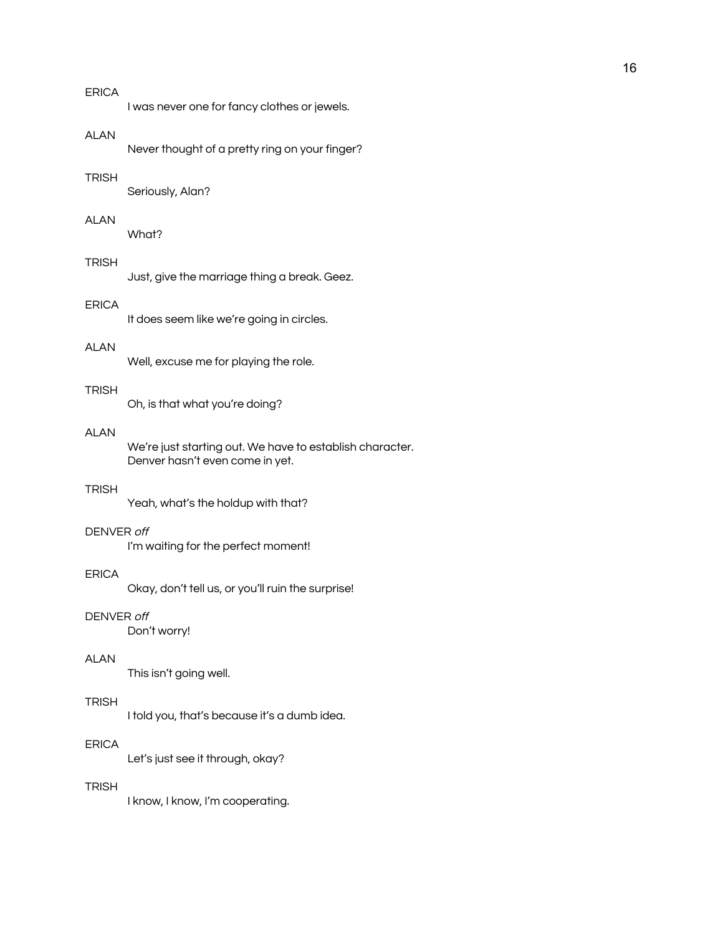I was never one for fancy clothes or jewels.

#### ALAN

Never thought of a pretty ring on your finger?

#### **TRISH**

Seriously, Alan?

# ALAN

What?

# TRISH

Just, give the marriage thing a break. Geez.

# ERICA

It does seem like we're going in circles.

# ALAN

Well, excuse me for playing the role.

#### **TRISH**

Oh, is that what you're doing?

# ALAN

We're just starting out. We have to establish character. Denver hasn't even come in yet.

#### **TRISH**

Yeah, what's the holdup with that?

## DENVER off

I'm waiting for the perfect moment!

#### **FRICA**

Okay, don't tell us, or you'll ruin the surprise!

# DENVER off

Don't worry!

# ALAN

This isn't going well.

#### **TRISH**

I told you, that's because it's a dumb idea.

#### ERICA

Let's just see it through, okay?

# **TRISH**

I know, I know, I'm cooperating.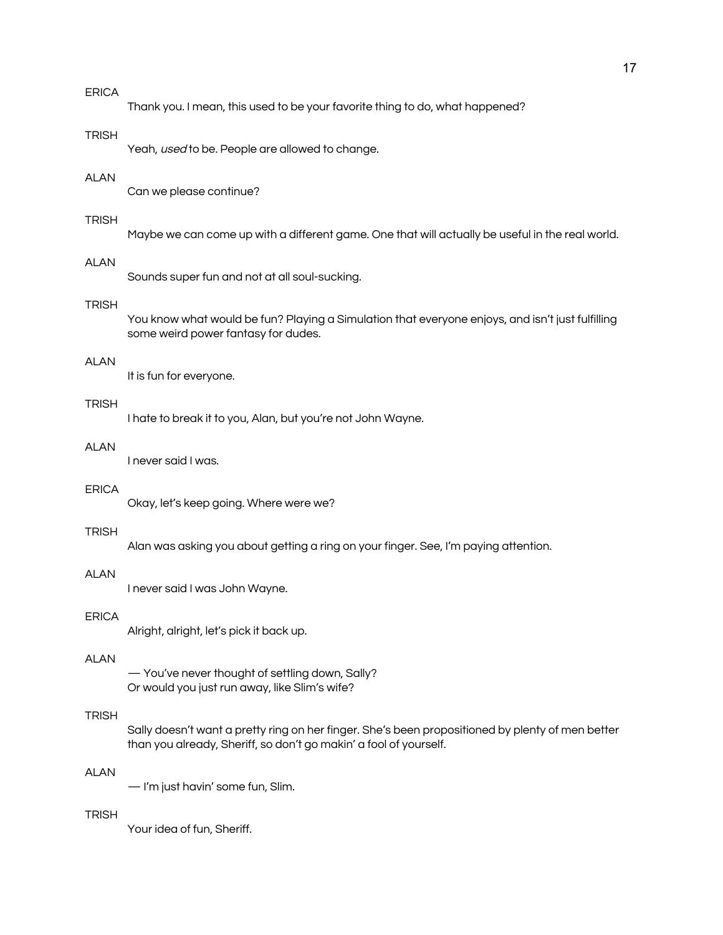Thank you. I mean, this used to be your favorite thing to do, what happened?

#### **TRISH**

Yeah, used to be. People are allowed to change.

#### ALAN

Can we please continue?

# **TRISH**

Maybe we can come up with a different game. One that will actually be useful in the real world.

# **ALAN**

Sounds super fun and not at all soul-sucking.

# **TRISH**

You know what would be fun? Playing a Simulation that everyone enjoys, and isn't just fulfilling some weird power fantasy for dudes.

#### ALAN

It is fun for everyone.

# **TRISH**

I hate to break it to you, Alan, but you're not John Wayne.

#### **ALAN**

I never said I was.

#### ERICA

Okay, let's keep going. Where were we?

### **TRISH**

Alan was asking you about getting a ring on your finger. See, I'm paying attention.

## **ALAN**

I never said I was John Wayne.

#### ERICA

Alright, alright, let's pick it back up.

## **ALAN**

— You've never thought of settling down, Sally? Or would you just run away, like Slim's wife?

# **TRISH**

Sally doesn't want a pretty ring on her finger. She's been propositioned by plenty of men better than you already, Sheriff, so don't go makin' a fool of yourself.

# ALAN

— I'm just havin' some fun, Slim.

#### TRISH

Your idea of fun, Sheriff.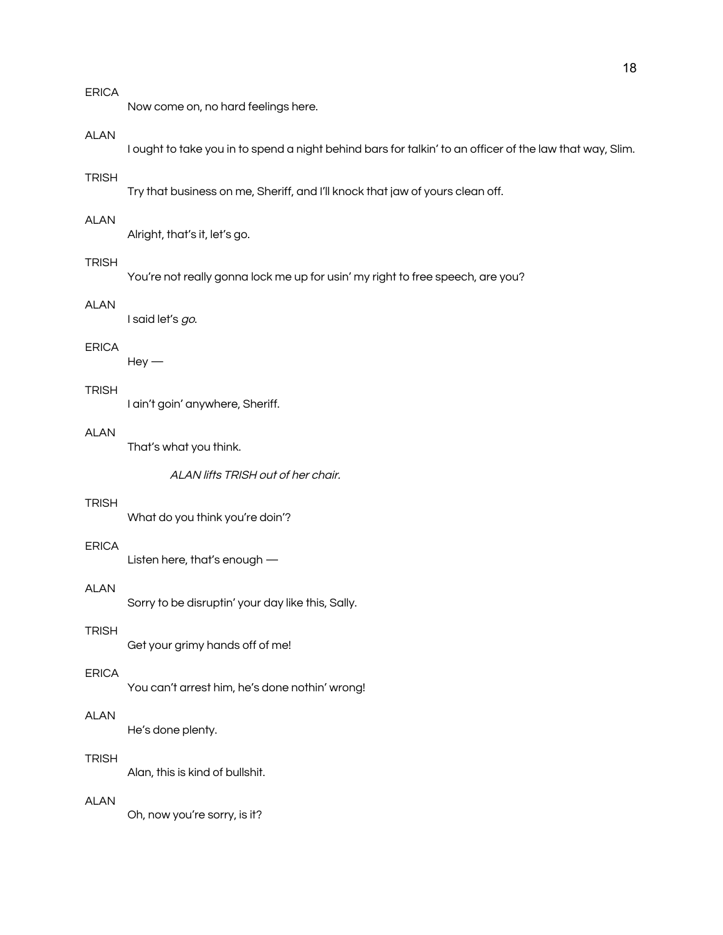Now come on, no hard feelings here.

## ALAN

I ought to take you in to spend a night behind bars for talkin' to an officer of the law that way, Slim.

#### **TRISH**

Try that business on me, Sheriff, and I'll knock that jaw of yours clean off.

# ALAN

Alright, that's it, let's go.

## TRISH

You're not really gonna lock me up for usin' my right to free speech, are you?

# ALAN

I said let's go.

# ERICA

 $Hey -$ 

## **TRISH**

I ain't goin' anywhere, Sheriff.

# ALAN

That's what you think.

ALAN lifts TRISH out of her chair.

# **TRISH**

What do you think you're doin'?

#### ERICA

Listen here, that's enough —

#### ALAN

Sorry to be disruptin' your day like this, Sally.

## **TRISH**

Get your grimy hands off of me!

#### ERICA

You can't arrest him, he's done nothin' wrong!

# ALAN

He's done plenty.

#### **TRISH**

Alan, this is kind of bullshit.

#### ALAN

Oh, now you're sorry, is it?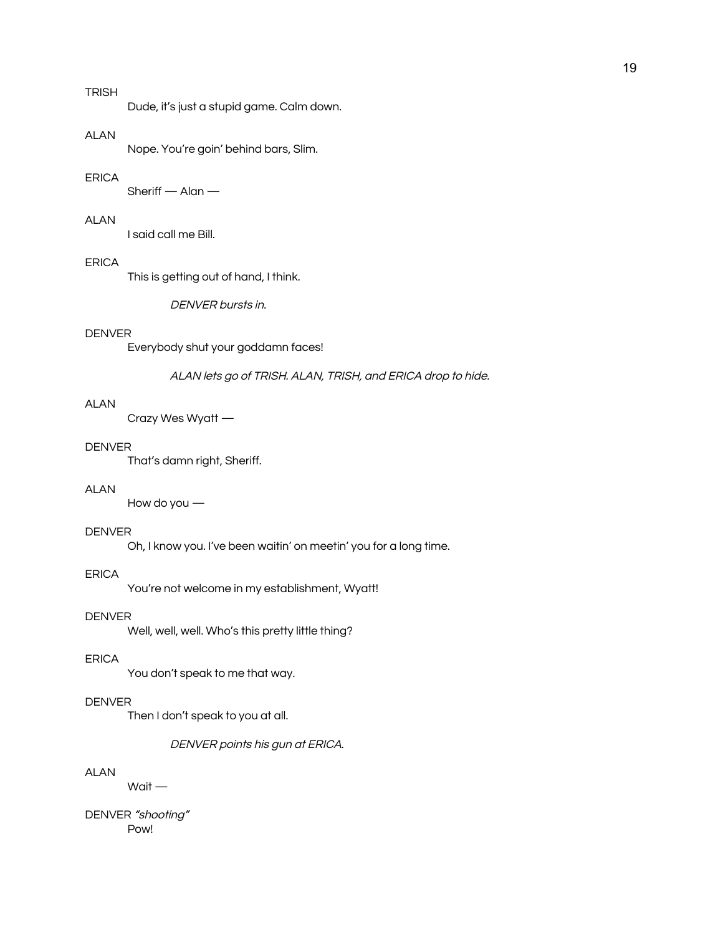# TRISH

Dude, it's just a stupid game. Calm down.

#### ALAN

Nope. You're goin' behind bars, Slim.

## ERICA

Sheriff  $-$  Alan  $-$ 

## ALAN

I said call me Bill.

#### ERICA

This is getting out of hand, I think.

#### DENVER bursts in.

## DENVER

Everybody shut your goddamn faces!

#### ALAN lets go of TRISH. ALAN, TRISH, and ERICA drop to hide.

# ALAN

Crazy Wes Wyatt —

#### DENVER

That's damn right, Sheriff.

## ALAN

How do you —

### DENVER

Oh, I know you. I've been waitin' on meetin' you for a long time.

#### ERICA

You're not welcome in my establishment, Wyatt!

# DENVER

Well, well, well. Who's this pretty little thing?

# ERICA

You don't speak to me that way.

# DENVER

Then I don't speak to you at all.

DENVER points his gun at ERICA.

# ALAN

Wait —

DENVER "shooting" Pow!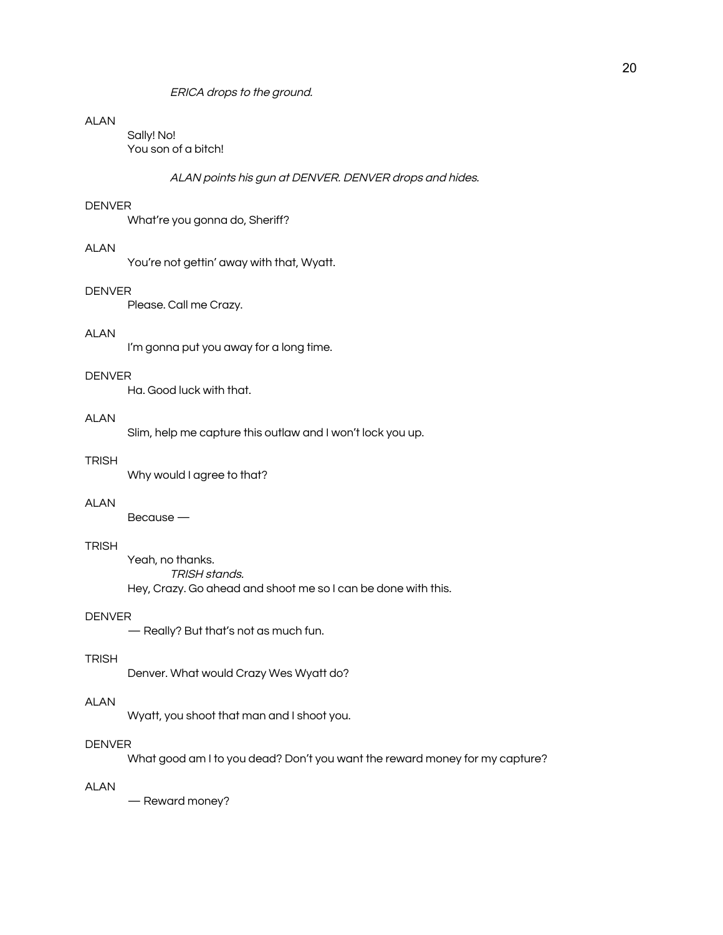ERICA drops to the ground.

# ALAN

Sally! No! You son of a bitch!

ALAN points his gun at DENVER. DENVER drops and hides.

#### DENVER

What're you gonna do, Sheriff?

# ALAN

You're not gettin' away with that, Wyatt.

#### DENVER

Please. Call me Crazy.

## ALAN

I'm gonna put you away for a long time.

#### DENVER

Ha. Good luck with that.

## **ALAN**

Slim, help me capture this outlaw and I won't lock you up.

# **TRISH**

Why would I agree to that?

#### ALAN

Because —

## **TRISH**

Yeah, no thanks. TRISH stands. Hey, Crazy. Go ahead and shoot me so I can be done with this.

# DENVER

— Really? But that's not as much fun.

## **TRISH**

Denver. What would Crazy Wes Wyatt do?

#### ALAN

Wyatt, you shoot that man and I shoot you.

#### DENVER

What good am I to you dead? Don't you want the reward money for my capture?

# ALAN

— Reward money?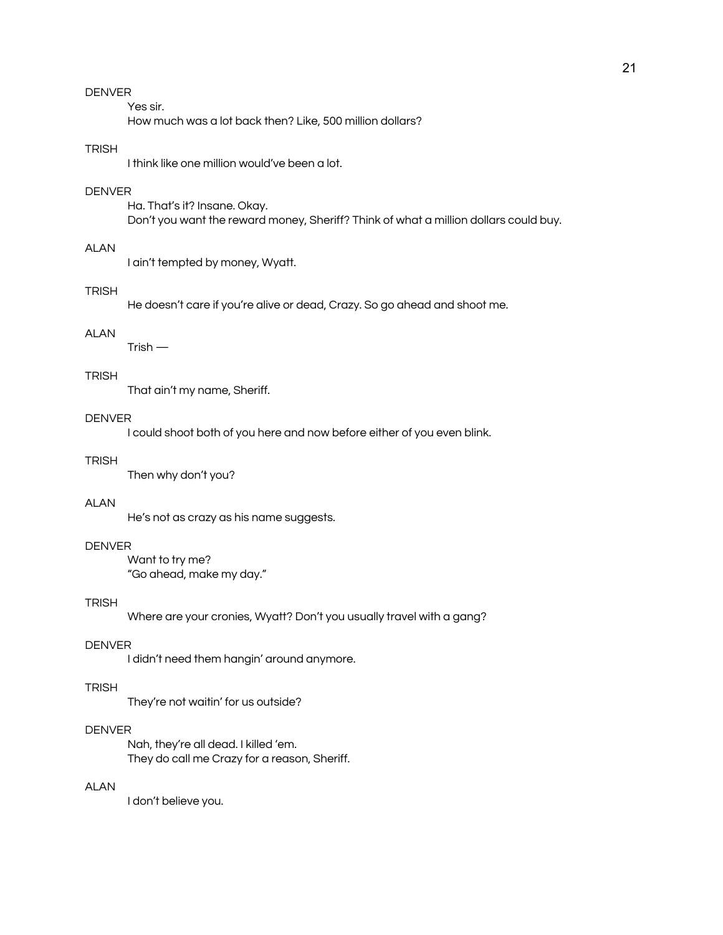Yes sir.

How much was a lot back then? Like, 500 million dollars?

# **TRISH**

I think like one million would've been a lot.

## DENVER

Ha. That's it? Insane. Okay. Don't you want the reward money, Sheriff? Think of what a million dollars could buy.

# ALAN

I ain't tempted by money, Wyatt.

#### **TRISH**

He doesn't care if you're alive or dead, Crazy. So go ahead and shoot me.

#### ALAN

 $T$ rish —

## **TRISH**

That ain't my name, Sheriff.

## DENVER

I could shoot both of you here and now before either of you even blink.

## **TRISH**

Then why don't you?

## ALAN

He's not as crazy as his name suggests.

#### DENVER

Want to try me? "Go ahead, make my day."

#### TRISH

Where are your cronies, Wyatt? Don't you usually travel with a gang?

#### DENVER

I didn't need them hangin' around anymore.

## **TRISH**

They're not waitin' for us outside?

#### **DENVER**

Nah, they're all dead. I killed 'em. They do call me Crazy for a reason, Sheriff.

# ALAN

I don't believe you.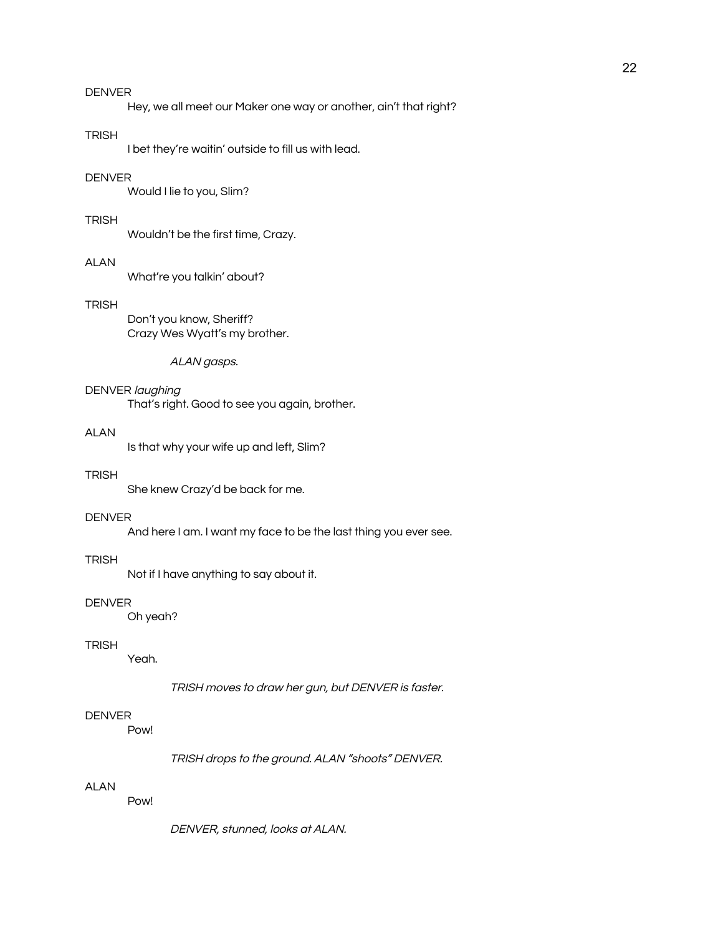Hey, we all meet our Maker one way or another, ain't that right?

#### TRISH

I bet they're waitin' outside to fill us with lead.

## DENVER

Would I lie to you, Slim?

#### **TRISH**

Wouldn't be the first time, Crazy.

## **ALAN**

What're you talkin' about?

## **TRISH**

Don't you know, Sheriff? Crazy Wes Wyatt's my brother.

#### ALAN gasps.

# DENVER laughing

That's right. Good to see you again, brother.

# ALAN

Is that why your wife up and left, Slim?

## **TRISH**

She knew Crazy'd be back for me.

#### DENVER

And here I am. I want my face to be the last thing you ever see.

## **TRISH**

Not if I have anything to say about it.

#### DENVER

Oh yeah?

## **TRISH**

Yeah.

#### TRISH moves to draw her gun, but DENVER is faster.

# DENVER

Pow!

TRISH drops to the ground. ALAN "shoots" DENVER.

# ALAN

Pow!

DENVER, stunned, looks at ALAN.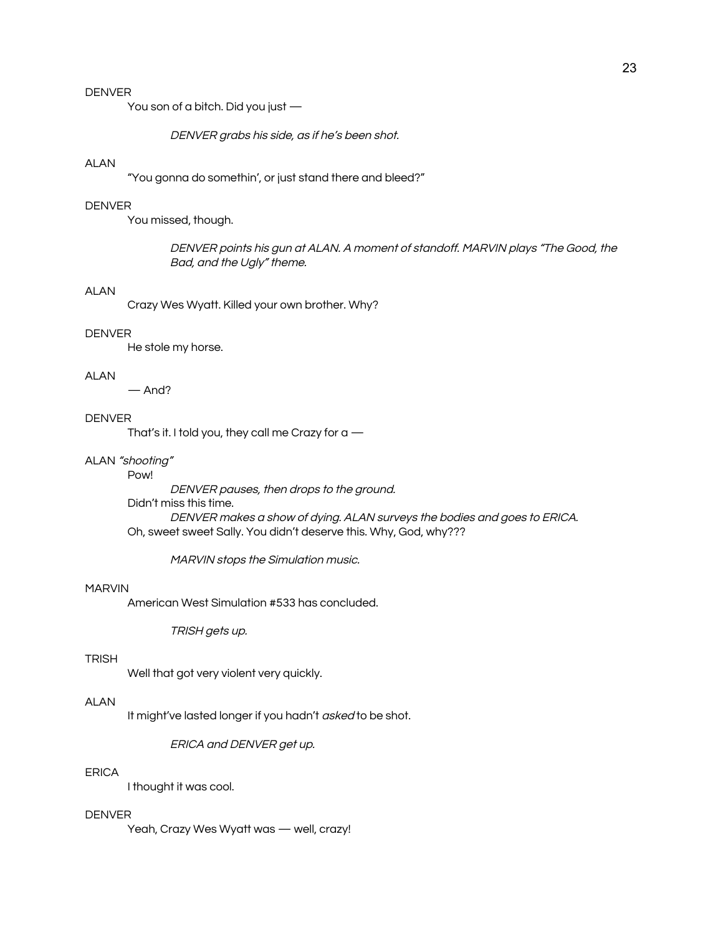You son of a bitch. Did you just —

DENVER grabs his side, as if he's been shot.

# ALAN

"You gonna do somethin', or just stand there and bleed?"

#### DENVER

You missed, though.

DENVER points his gun at ALAN. A moment of standoff. MARVIN plays "The Good, the Bad, and the Ugly" theme.

#### ALAN

Crazy Wes Wyatt. Killed your own brother. Why?

#### DENVER

He stole my horse.

#### ALAN

— And?

## **DENVER**

That's it. I told you, they call me Crazy for  $a$  —

#### ALAN "shooting"

#### Pow!

DENVER pauses, then drops to the ground.

Didn't miss this time.

DENVER makes <sup>a</sup> show of dying. ALAN surveys the bodies and goes to ERICA. Oh, sweet sweet Sally. You didn't deserve this. Why, God, why???

MARVIN stops the Simulation music.

#### MARVIN

American West Simulation #533 has concluded.

TRISH gets up.

#### TRISH

Well that got very violent very quickly.

#### ALAN

It might've lasted longer if you hadn't *asked* to be shot.

ERICA and DENVER get up.

## ERICA

I thought it was cool.

#### DENVER

Yeah, Crazy Wes Wyatt was — well, crazy!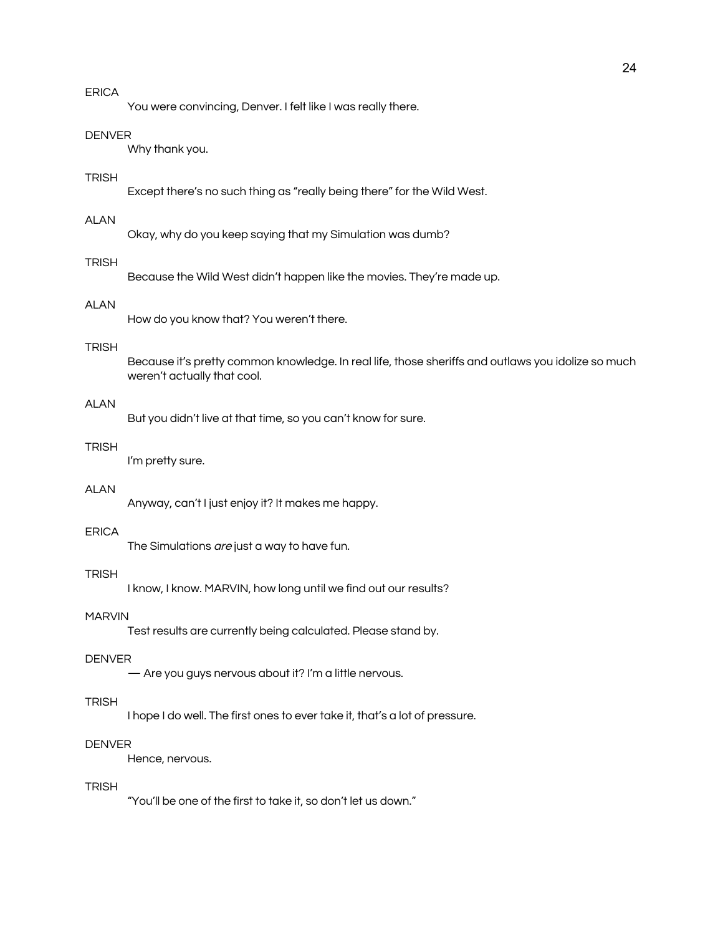You were convincing, Denver. I felt like I was really there.

#### **DENVER**

Why thank you.

### **TRISH**

Except there's no such thing as "really being there" for the Wild West.

# ALAN

Okay, why do you keep saying that my Simulation was dumb?

## TRISH

Because the Wild West didn't happen like the movies. They're made up.

# ALAN

How do you know that? You weren't there.

#### TRISH

Because it's pretty common knowledge. In real life, those sheriffs and outlaws you idolize so much weren't actually that cool.

# ALAN

But you didn't live at that time, so you can't know for sure.

#### TRISH

I'm pretty sure.

#### ALAN

Anyway, can't I just enjoy it? It makes me happy.

### ERICA

The Simulations are just a way to have fun.

## TRISH

I know, I know. MARVIN, how long until we find out our results?

# MARVIN

Test results are currently being calculated. Please stand by.

#### **DENVER**

— Are you guys nervous about it? I'm a little nervous.

#### **TRISH**

I hope I do well. The first ones to ever take it, that's a lot of pressure.

#### DENVER

Hence, nervous.

## **TRISH**

"You'll be one of the first to take it, so don't let us down."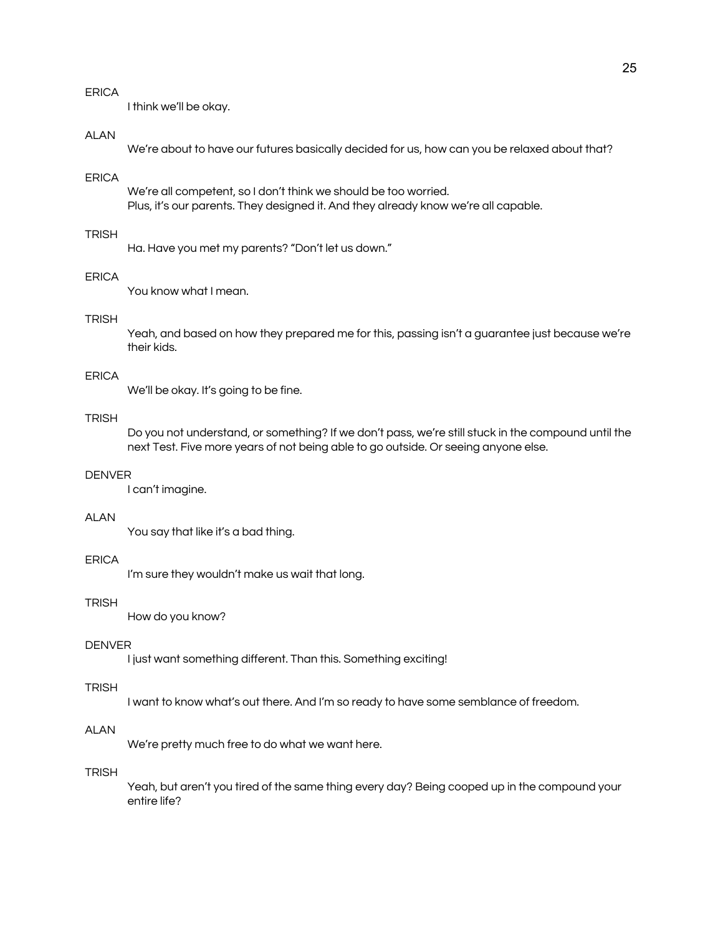I think we'll be okay.

## **ALAN**

We're about to have our futures basically decided for us, how can you be relaxed about that?

#### ERICA

We're all competent, so I don't think we should be too worried. Plus, it's our parents. They designed it. And they already know we're all capable.

## **TRISH**

Ha. Have you met my parents? "Don't let us down."

## ERICA

You know what I mean.

# **TRISH**

Yeah, and based on how they prepared me for this, passing isn't a guarantee just because we're their kids.

# ERICA

We'll be okay. It's going to be fine.

#### TRISH

Do you not understand, or something? If we don't pass, we're still stuck in the compound until the next Test. Five more years of not being able to go outside. Or seeing anyone else.

## **DENVER**

I can't imagine.

#### ALAN

You say that like it's a bad thing.

## ERICA

I'm sure they wouldn't make us wait that long.

#### TRISH

How do you know?

#### DENVER

I just want something different. Than this. Something exciting!

#### **TRISH**

I want to know what's out there. And I'm so ready to have some semblance of freedom.

# **ALAN**

We're pretty much free to do what we want here.

# **TRISH**

Yeah, but aren't you tired of the same thing every day? Being cooped up in the compound your entire life?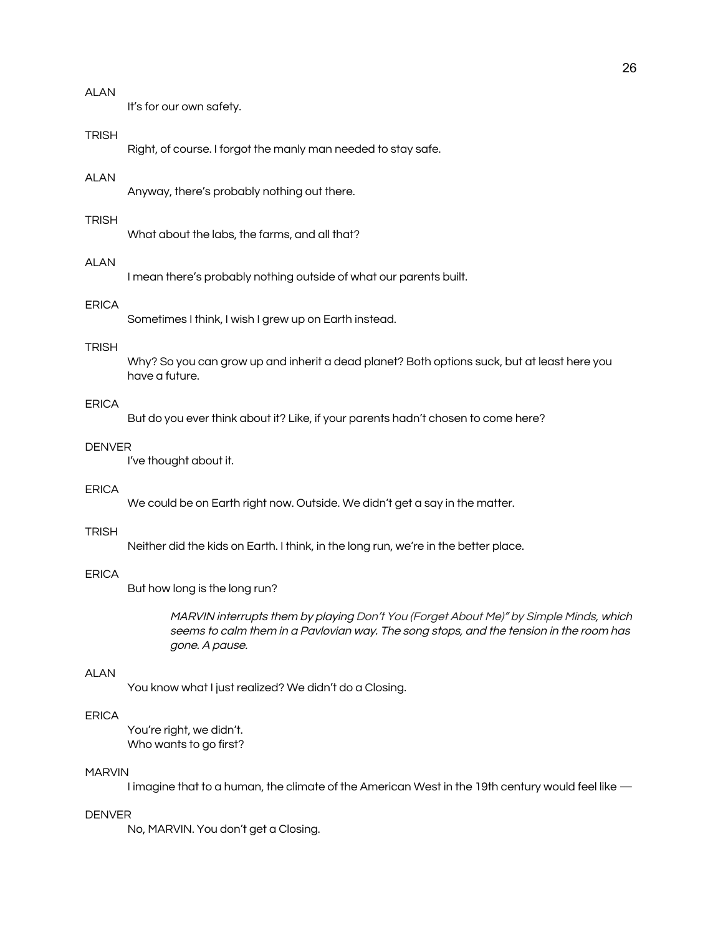It's for our own safety.

#### TRISH

Right, of course. I forgot the manly man needed to stay safe.

#### ALAN

Anyway, there's probably nothing out there.

#### **TRISH**

What about the labs, the farms, and all that?

# **ALAN**

I mean there's probably nothing outside of what our parents built.

# ERICA

Sometimes I think, I wish I grew up on Earth instead.

#### TRISH

Why? So you can grow up and inherit a dead planet? Both options suck, but at least here you have a future.

# ERICA

But do you ever think about it? Like, if your parents hadn't chosen to come here?

#### DENVER

I've thought about it.

#### ERICA

We could be on Earth right now. Outside. We didn't get a say in the matter.

#### **TRISH**

Neither did the kids on Earth. I think, in the long run, we're in the better place.

#### **FRICA**

But how long is the long run?

MARVIN interrupts them by playing Don't You (Forget About Me)" by Simple Minds, which seems to calm them in <sup>a</sup> Pavlovian way. The song stops, and the tension in the room has gone. A pause.

#### ALAN

You know what I just realized? We didn't do a Closing.

## ERICA

You're right, we didn't. Who wants to go first?

## MARVIN

I imagine that to a human, the climate of the American West in the 19th century would feel like —

#### DENVER

No, MARVIN. You don't get a Closing.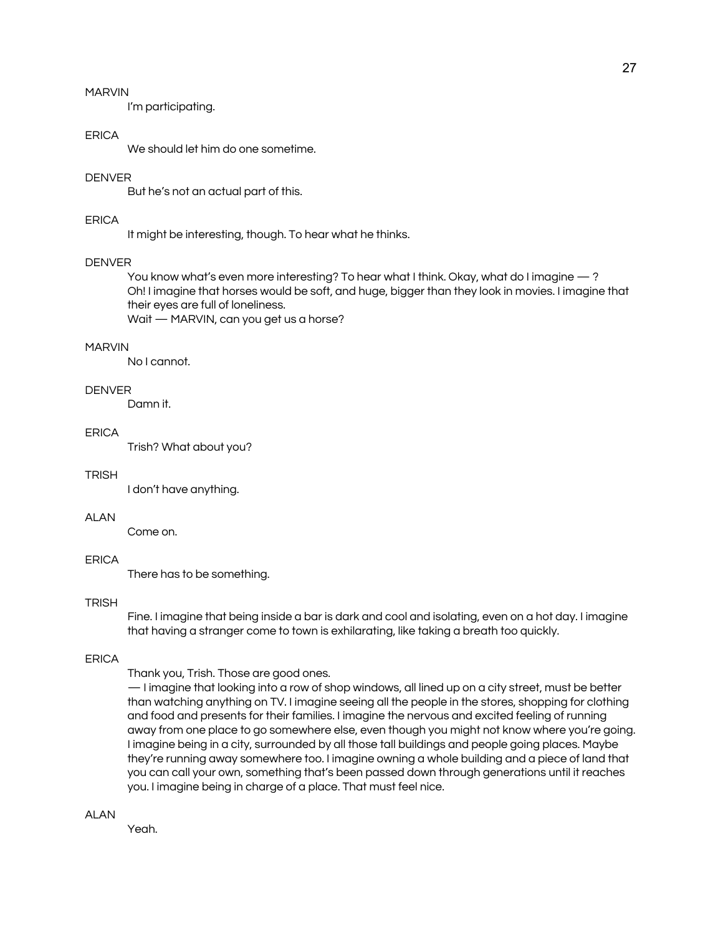## MARVIN

I'm participating.

## **FRICA**

We should let him do one sometime.

### DENVER

But he's not an actual part of this.

## ERICA

It might be interesting, though. To hear what he thinks.

#### **DENVER**

You know what's even more interesting? To hear what I think. Okay, what do I imagine — ? Oh! I imagine that horses would be soft, and huge, bigger than they look in movies. I imagine that their eyes are full of loneliness.

Wait — MARVIN, can you get us a horse?

## MARVIN

No I cannot.

# **DENVER**

Damn it.

#### ERICA

Trish? What about you?

#### TRISH

I don't have anything.

#### ALAN

Come on.

## ERICA

There has to be something.

#### TRISH

Fine. I imagine that being inside a bar is dark and cool and isolating, even on a hot day. I imagine that having a stranger come to town is exhilarating, like taking a breath too quickly.

#### **FRICA**

Thank you, Trish. Those are good ones.

— I imagine that looking into a row of shop windows, all lined up on a city street, must be better than watching anything on TV. I imagine seeing all the people in the stores, shopping for clothing and food and presents for their families. I imagine the nervous and excited feeling of running away from one place to go somewhere else, even though you might not know where you're going. I imagine being in a city, surrounded by all those tall buildings and people going places. Maybe they're running away somewhere too. I imagine owning a whole building and a piece of land that you can call your own, something that's been passed down through generations until it reaches you. I imagine being in charge of a place. That must feel nice.

**ALAN** 

Yeah.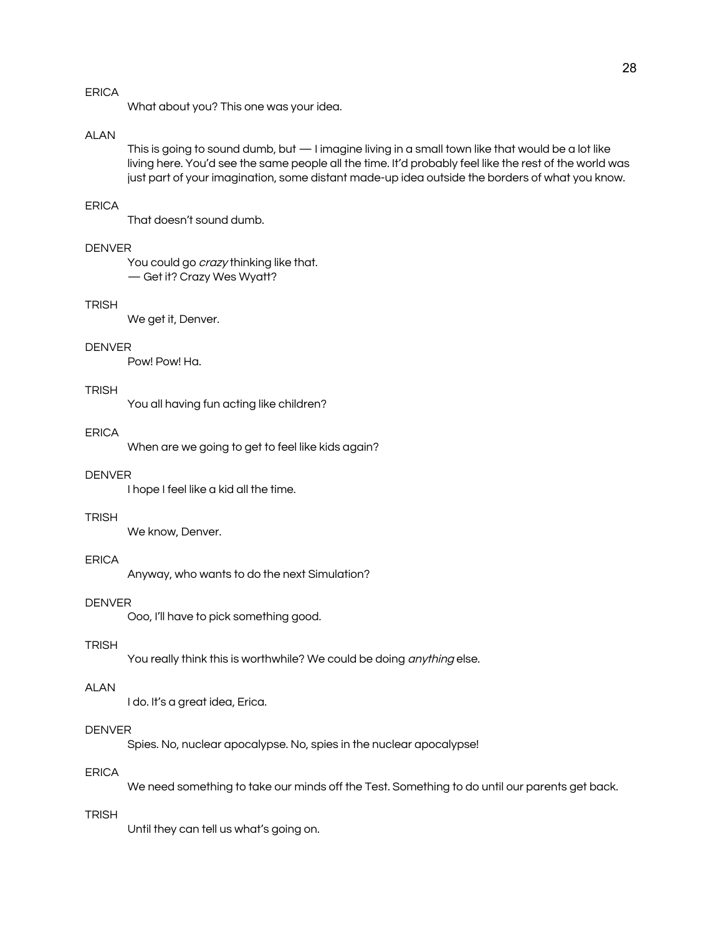What about you? This one was your idea.

## **ALAN**

This is going to sound dumb, but — I imagine living in a small town like that would be a lot like living here. You'd see the same people all the time. It'd probably feel like the rest of the world was just part of your imagination, some distant made-up idea outside the borders of what you know.

#### ERICA

That doesn't sound dumb.

# DENVER

You could go *crazy* thinking like that. — Get it? Crazy Wes Wyatt?

# **TRISH**

We get it, Denver.

#### **DENVER**

Pow! Pow! Ha.

## **TRISH**

You all having fun acting like children?

#### ERICA

When are we going to get to feel like kids again?

## **DENVER**

I hope I feel like a kid all the time.

#### **TRISH**

We know, Denver.

## ERICA

Anyway, who wants to do the next Simulation?

#### **DENVER**

Ooo, I'll have to pick something good.

#### **TRISH**

You really think this is worthwhile? We could be doing anything else.

## ALAN

I do. It's a great idea, Erica.

#### **DENVER**

Spies. No, nuclear apocalypse. No, spies in the nuclear apocalypse!

## ERICA

We need something to take our minds off the Test. Something to do until our parents get back.

#### TRISH

Until they can tell us what's going on.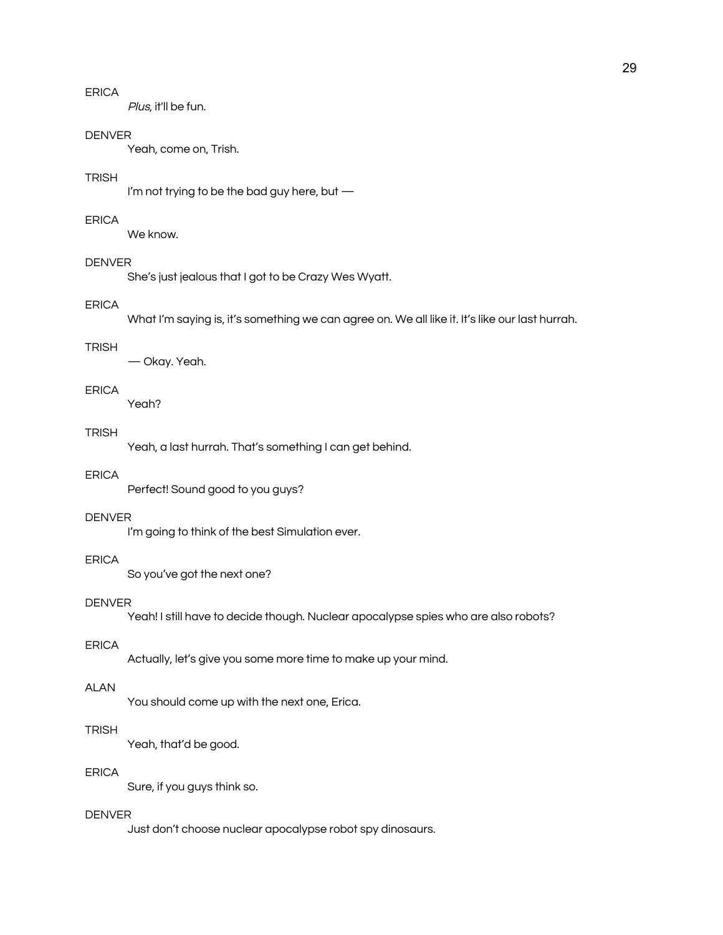Plus, it'll be fun.

#### **DENVER**

Yeah, come on, Trish.

### **TRISH**

I'm not trying to be the bad guy here, but —

#### ERICA

We know.

## **DENVER**

She's just jealous that I got to be Crazy Wes Wyatt.

# ERICA

What I'm saying is, it's something we can agree on. We all like it. It's like our last hurrah.

#### **TRISH**

— Okay. Yeah.

# ERICA

Yeah?

# **TRISH**

Yeah, a last hurrah. That's something I can get behind.

# ERICA

Perfect! Sound good to you guys?

# DENVER

I'm going to think of the best Simulation ever.

# ERICA

So you've got the next one?

#### DENVER

Yeah! I still have to decide though. Nuclear apocalypse spies who are also robots?

#### ERICA

Actually, let's give you some more time to make up your mind.

# ALAN

You should come up with the next one, Erica.

## TRISH

Yeah, that'd be good.

# ERICA

Sure, if you guys think so.

#### DENVER

Just don't choose nuclear apocalypse robot spy dinosaurs.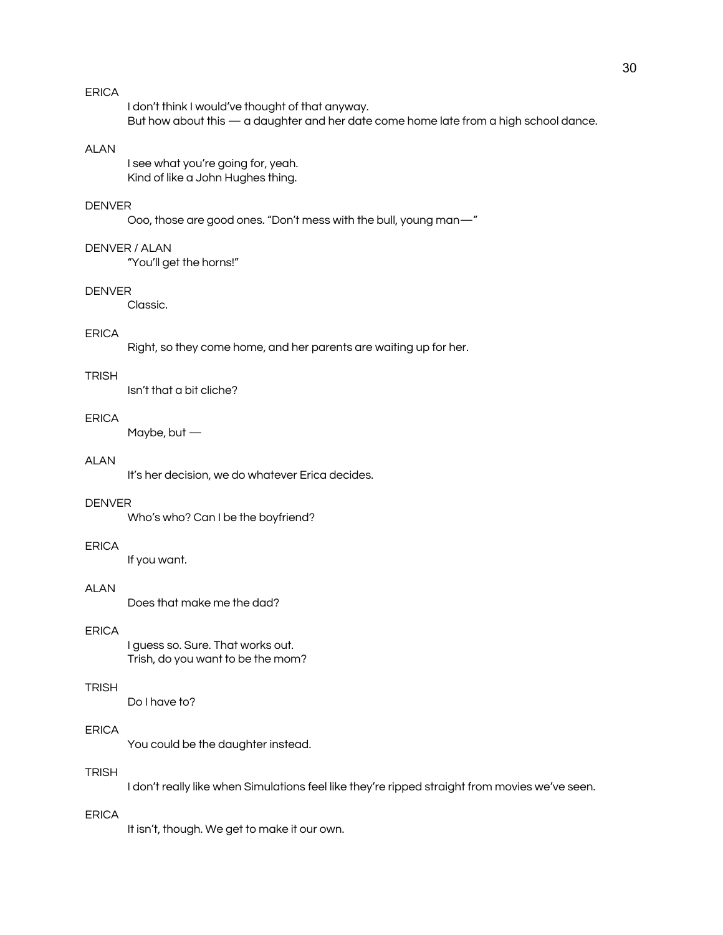I don't think I would've thought of that anyway. But how about this — a daughter and her date come home late from a high school dance.

# ALAN

I see what you're going for, yeah. Kind of like a John Hughes thing.

#### DENVER

Ooo, those are good ones. "Don't mess with the bull, young man—"

#### DENVER / ALAN

"You'll get the horns!"

#### DENVER

Classic.

## ERICA

Right, so they come home, and her parents are waiting up for her.

#### **TRISH**

Isn't that a bit cliche?

## ERICA

Maybe, but —

#### ALAN

It's her decision, we do whatever Erica decides.

## DENVER

Who's who? Can I be the boyfriend?

#### ERICA

If you want.

#### ALAN

Does that make me the dad?

# ERICA

I guess so. Sure. That works out. Trish, do you want to be the mom?

#### **TRISH**

Do I have to?

# **FRICA**

You could be the daughter instead.

## **TRISH**

I don't really like when Simulations feel like they're ripped straight from movies we've seen.

# ERICA

It isn't, though. We get to make it our own.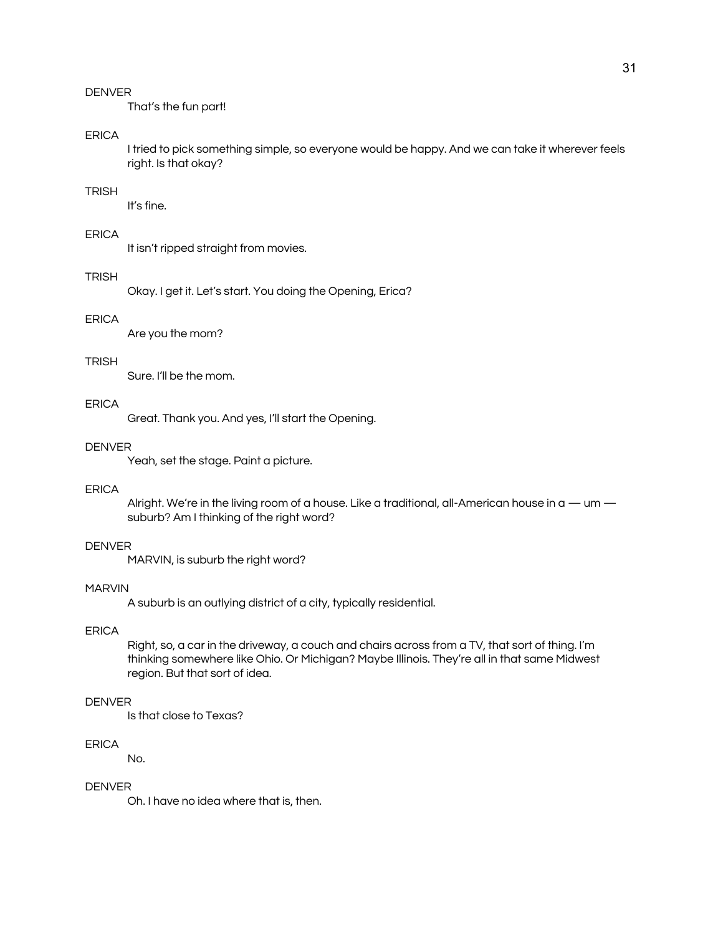That's the fun part!

## **FRICA**

I tried to pick something simple, so everyone would be happy. And we can take it wherever feels right. Is that okay?

#### TRISH

It's fine.

## ERICA

It isn't ripped straight from movies.

#### **TRISH**

Okay. I get it. Let's start. You doing the Opening, Erica?

# ERICA

Are you the mom?

#### **TRISH**

Sure. I'll be the mom.

# ERICA

Great. Thank you. And yes, I'll start the Opening.

## DENVER

Yeah, set the stage. Paint a picture.

#### ERICA

Alright. We're in the living room of a house. Like a traditional, all-American house in a — um suburb? Am I thinking of the right word?

### DENVER

MARVIN, is suburb the right word?

#### MARVIN

A suburb is an outlying district of a city, typically residential.

# ERICA

Right, so, a car in the driveway, a couch and chairs across from a TV, that sort of thing. I'm thinking somewhere like Ohio. Or Michigan? Maybe Illinois. They're all in that same Midwest region. But that sort of idea.

## DENVER

Is that close to Texas?

#### ERICA

No.

# DENVER

Oh. I have no idea where that is, then.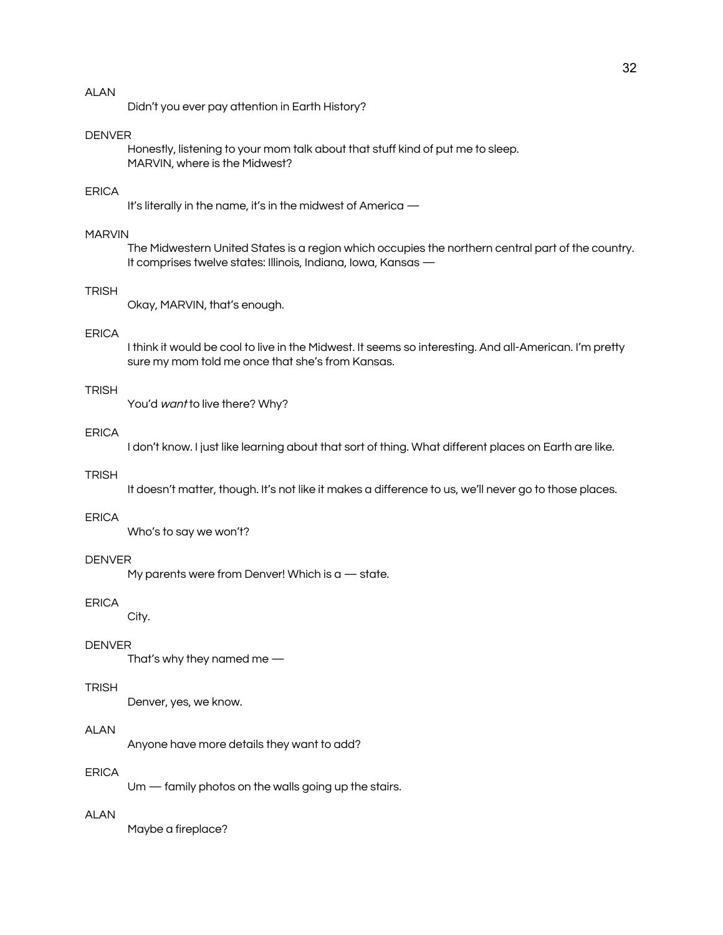Didn't you ever pay attention in Earth History?

## DENVER

Honestly, listening to your mom talk about that stuff kind of put me to sleep. MARVIN, where is the Midwest?

## ERICA

It's literally in the name, it's in the midwest of America —

## MARVIN

The Midwestern United States is a region which occupies the northern central part of the country. It comprises twelve states: Illinois, Indiana, Iowa, Kansas —

## TRISH

Okay, MARVIN, that's enough.

#### ERICA

I think it would be cool to live in the Midwest. It seems so interesting. And all-American. I'm pretty sure my mom told me once that she's from Kansas.

#### **TRISH**

You'd want to live there? Why?

#### ERICA

I don't know. I just like learning about that sort of thing. What different places on Earth are like.

## TRISH

It doesn't matter, though. It's not like it makes a difference to us, we'll never go to those places.

## ERICA

Who's to say we won't?

#### DENVER

My parents were from Denver! Which is  $a -$  state.

#### ERICA

City.

#### DENVER

That's why they named me —

#### **TRISH**

Denver, yes, we know.

# **ALAN**

Anyone have more details they want to add?

## ERICA

Um — family photos on the walls going up the stairs.

# ALAN

Maybe a fireplace?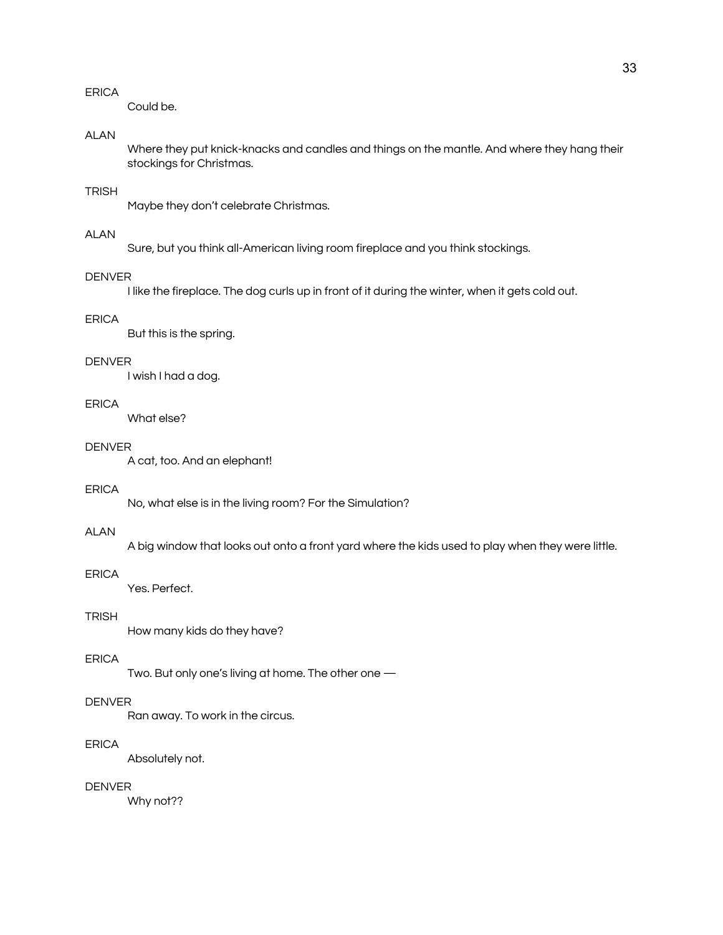Could be.

# ALAN

Where they put knick-knacks and candles and things on the mantle. And where they hang their stockings for Christmas.

# **TRISH**

Maybe they don't celebrate Christmas.

# ALAN

Sure, but you think all-American living room fireplace and you think stockings.

## DENVER

I like the fireplace. The dog curls up in front of it during the winter, when it gets cold out.

# ERICA

But this is the spring.

#### DENVER

I wish I had a dog.

# ERICA

What else?

#### DENVER

A cat, too. And an elephant!

#### ERICA

No, what else is in the living room? For the Simulation?

## ALAN

A big window that looks out onto a front yard where the kids used to play when they were little.

## **FRICA**

Yes. Perfect.

# **TRISH**

How many kids do they have?

# ERICA

Two. But only one's living at home. The other one —

## DENVER

Ran away. To work in the circus.

## ERICA

Absolutely not.

# DENVER

Why not??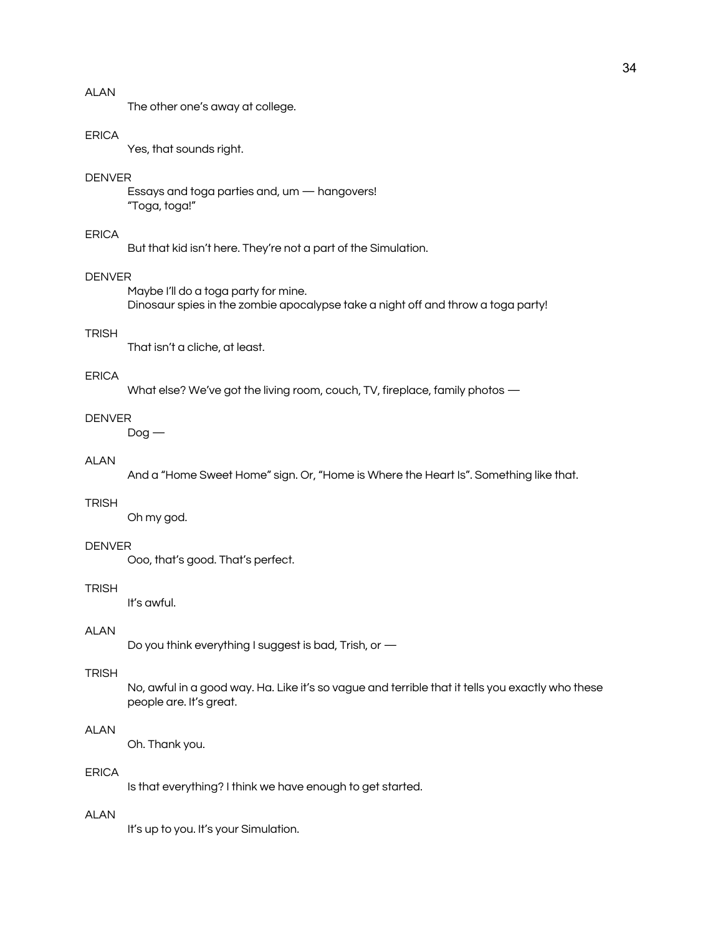The other one's away at college.

#### ERICA

Yes, that sounds right.

## DENVER

Essays and toga parties and, um — hangovers! "Toga, toga!"

## ERICA

But that kid isn't here. They're not a part of the Simulation.

## DENVER

Maybe I'll do a toga party for mine. Dinosaur spies in the zombie apocalypse take a night off and throw a toga party!

#### **TRISH**

That isn't a cliche, at least.

#### ERICA

What else? We've got the living room, couch, TV, fireplace, family photos —

## DENVER

 $Doq -$ 

# ALAN

And a "Home Sweet Home" sign. Or, "Home is Where the Heart Is". Something like that.

## TRISH

Oh my god.

#### DENVER

Ooo, that's good. That's perfect.

## **TRISH**

It's awful.

# ALAN

Do you think everything I suggest is bad, Trish, or —

## **TRISH**

No, awful in a good way. Ha. Like it's so vague and terrible that it tells you exactly who these people are. It's great.

# **ALAN**

Oh. Thank you.

# ERICA

Is that everything? I think we have enough to get started.

## ALAN

It's up to you. It's your Simulation.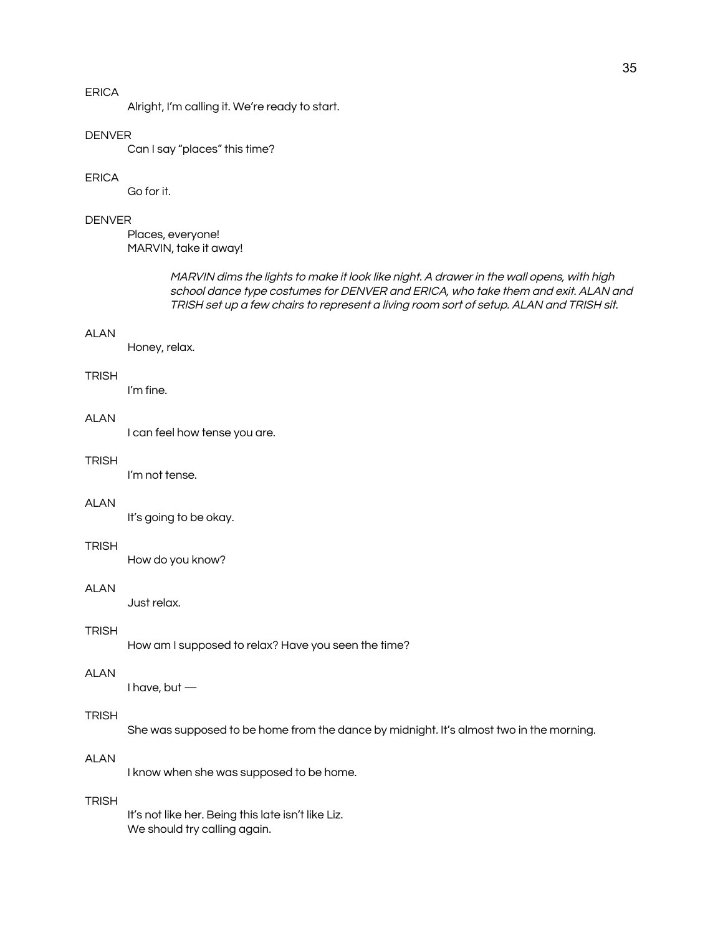Alright, I'm calling it. We're ready to start.

## **DENVER**

Can I say "places" this time?

#### ERICA

Go for it.

## DENVER

Places, everyone! MARVIN, take it away!

> MARVIN dims the lights to make it look like night. A drawer in the wall opens, with high school dance type costumes for DENVER and ERICA, who take them and exit. ALAN and TRISH set up <sup>a</sup> few chairs to represent <sup>a</sup> living room sort of setup. ALAN and TRISH sit.

#### ALAN

Honey, relax.

#### **TRISH**

I'm fine.

# **ALAN**

I can feel how tense you are.

#### **TRISH**

I'm not tense.

## ALAN

It's going to be okay.

#### **TRISH**

How do you know?

#### ALAN

Just relax.

# **TRISH**

How am I supposed to relax? Have you seen the time?

#### ALAN

I have, but —

# **TRISH**

She was supposed to be home from the dance by midnight. It's almost two in the morning.

## ALAN

I know when she was supposed to be home.

#### **TRISH**

It's not like her. Being this late isn't like Liz. We should try calling again.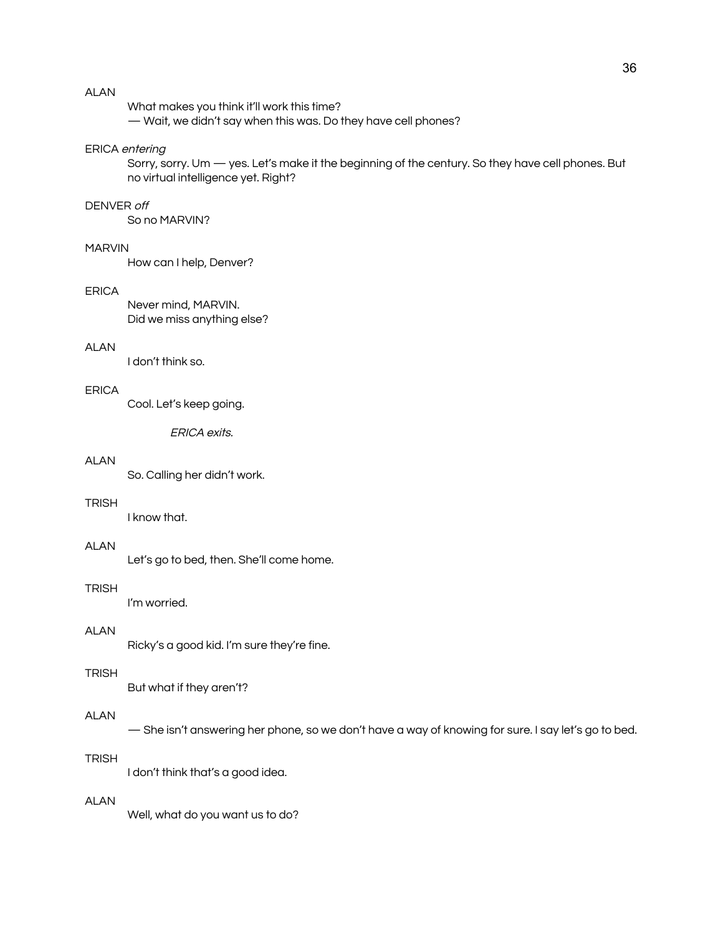What makes you think it'll work this time?

— Wait, we didn't say when this was. Do they have cell phones?

## ERICA entering

Sorry, sorry. Um — yes. Let's make it the beginning of the century. So they have cell phones. But no virtual intelligence yet. Right?

#### DENVER off

So no MARVIN?

# MARVIN

How can I help, Denver?

#### ERICA

Never mind, MARVIN. Did we miss anything else?

# AI AN

I don't think so.

## ERICA

Cool. Let's keep going.

ERICA exits.

# ALAN

So. Calling her didn't work.

## **TRISH**

I know that.

## ALAN

Let's go to bed, then. She'll come home.

#### **TRISH**

I'm worried.

# ALAN

Ricky's a good kid. I'm sure they're fine.

#### **TRISH**

But what if they aren't?

# ALAN

— She isn't answering her phone, so we don't have a way of knowing for sure. I say let's go to bed.

#### **TRISH**

I don't think that's a good idea.

#### ALAN

Well, what do you want us to do?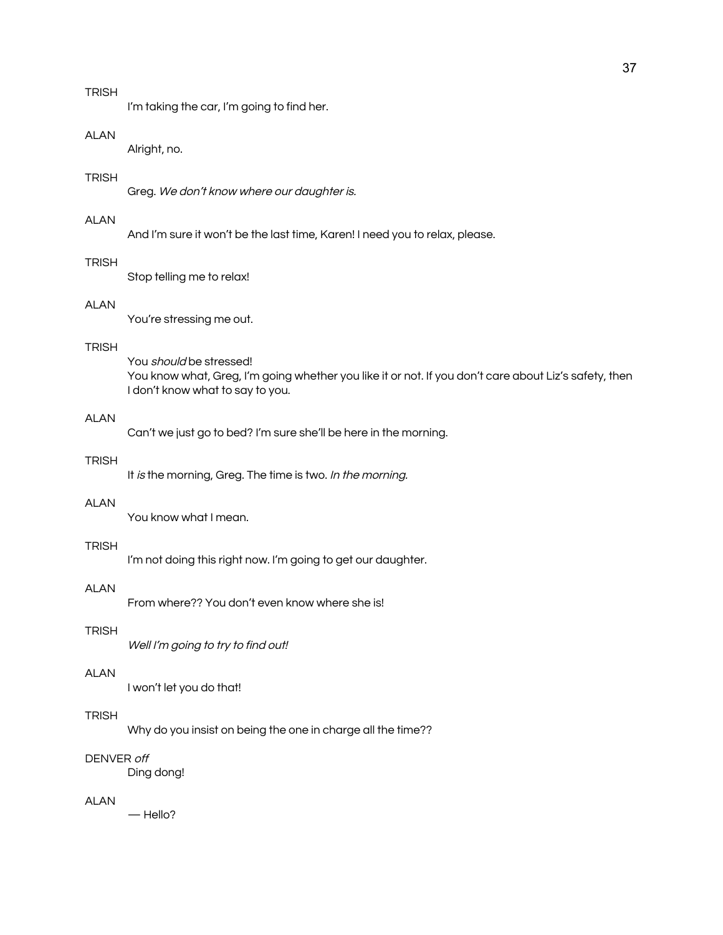# **TRISH**

I'm taking the car, I'm going to find her.

#### ALAN

Alright, no.

## **TRISH**

Greg. We don't know where our daughter is.

# ALAN

And I'm sure it won't be the last time, Karen! I need you to relax, please.

# TRISH

Stop telling me to relax!

# ALAN

You're stressing me out.

# TRISH

You *should* be stressed! You know what, Greg, I'm going whether you like it or not. If you don't care about Liz's safety, then I don't know what to say to you.

# **ALAN**

Can't we just go to bed? I'm sure she'll be here in the morning.

## **TRISH**

It is the morning, Greg. The time is two. In the morning.

# ALAN

You know what I mean.

#### **TRISH**

I'm not doing this right now. I'm going to get our daughter.

#### ALAN

From where?? You don't even know where she is!

# **TRISH**

Well I'm going to try to find out!

#### ALAN

I won't let you do that!

# **TRISH**

Why do you insist on being the one in charge all the time??

## DENVER off

Ding dong!

#### ALAN

— Hello?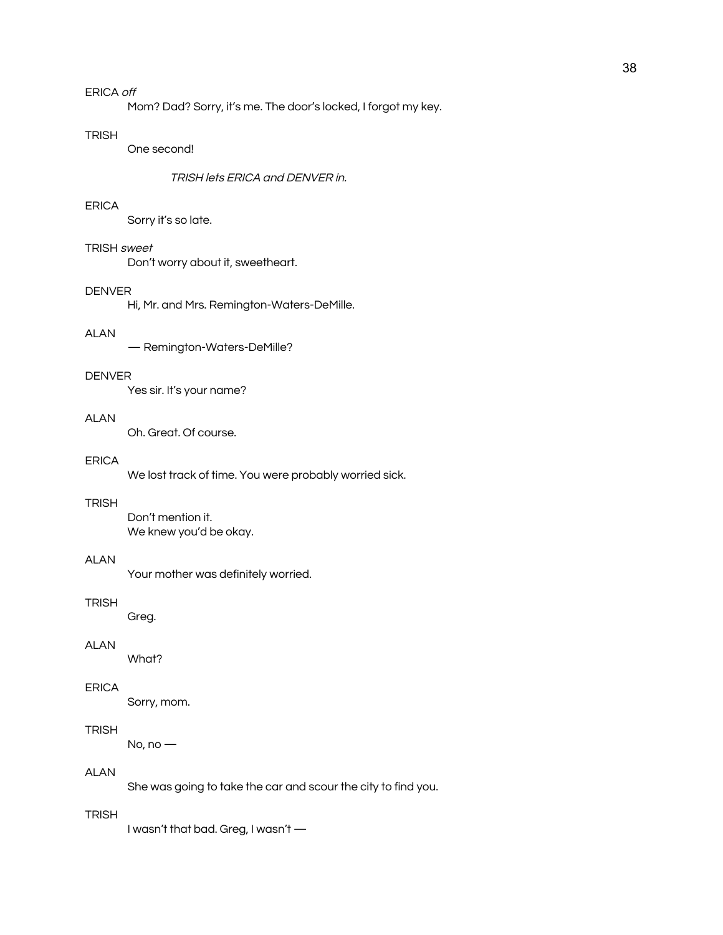Mom? Dad? Sorry, it's me. The door's locked, I forgot my key.

#### **TRISH**

One second!

#### TRISH lets ERICA and DENVER in.

## ERICA

Sorry it's so late.

## TRISH sweet

Don't worry about it, sweetheart.

#### DENVER

Hi, Mr. and Mrs. Remington-Waters-DeMille.

## ALAN

— Remington-Waters-DeMille?

#### DENVER

Yes sir. It's your name?

## ALAN

Oh. Great. Of course.

## ERICA

We lost track of time. You were probably worried sick.

## **TRISH**

Don't mention it. We knew you'd be okay.

# ALAN

Your mother was definitely worried.

#### **TRISH**

Greg.

#### ALAN

What?

## ERICA

Sorry, mom.

# TRISH

No, no —

# ALAN

She was going to take the car and scour the city to find you.

# **TRISH**

I wasn't that bad. Greg, I wasn't —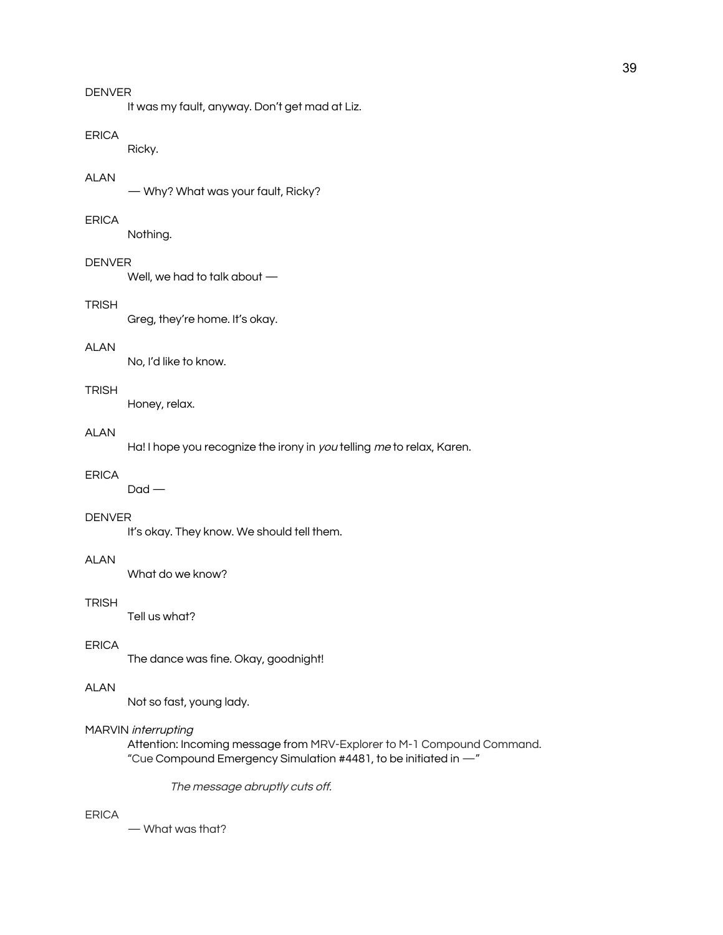It was my fault, anyway. Don't get mad at Liz.

## ERICA

Ricky.

## ALAN

— Why? What was your fault, Ricky?

#### ERICA

Nothing.

## DENVER

Well, we had to talk about —

# **TRISH**

Greg, they're home. It's okay.

# ALAN

No, I'd like to know.

#### **TRISH**

Honey, relax.

## ALAN

Ha! I hope you recognize the irony in you telling me to relax, Karen.

# ERICA

 $D$ ad —

#### DENVER

It's okay. They know. We should tell them.

# ALAN

What do we know?

#### **TRISH**

Tell us what?

#### ERICA

The dance was fine. Okay, goodnight!

# ALAN

Not so fast, young lady.

# MARVIN interrupting

Attention: Incoming message from MRV-Explorer to M-1 Compound Command. "Cue Compound Emergency Simulation #4481, to be initiated in —"

The message abruptly cuts off.

#### ERICA

— What was that?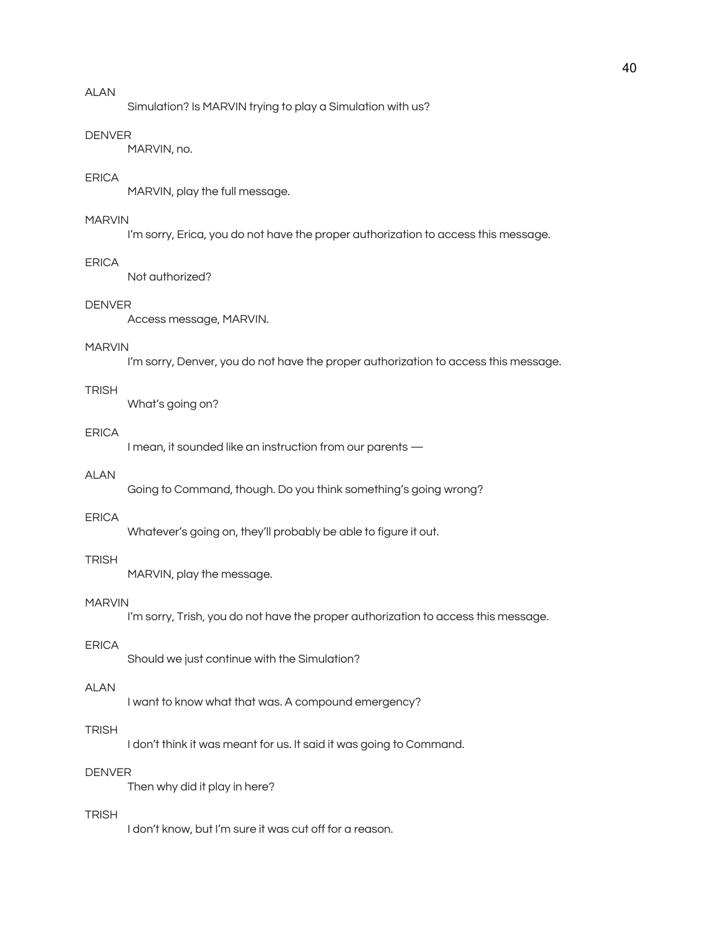Simulation? Is MARVIN trying to play a Simulation with us?

#### DENVER

MARVIN, no.

## ERICA

MARVIN, play the full message.

## MARVIN

I'm sorry, Erica, you do not have the proper authorization to access this message.

#### **FRICA**

Not authorized?

# DENVER

Access message, MARVIN.

## MARVIN

I'm sorry, Denver, you do not have the proper authorization to access this message.

#### **TRISH**

What's going on?

## ERICA

I mean, it sounded like an instruction from our parents —

## ALAN

Going to Command, though. Do you think something's going wrong?

## ERICA

Whatever's going on, they'll probably be able to figure it out.

# TRISH

MARVIN, play the message.

#### MARVIN

I'm sorry, Trish, you do not have the proper authorization to access this message.

#### ERICA

Should we just continue with the Simulation?

# ALAN

I want to know what that was. A compound emergency?

## **TRISH**

I don't think it was meant for us. It said it was going to Command.

# DENVER

Then why did it play in here?

#### TRISH

I don't know, but I'm sure it was cut off for a reason.